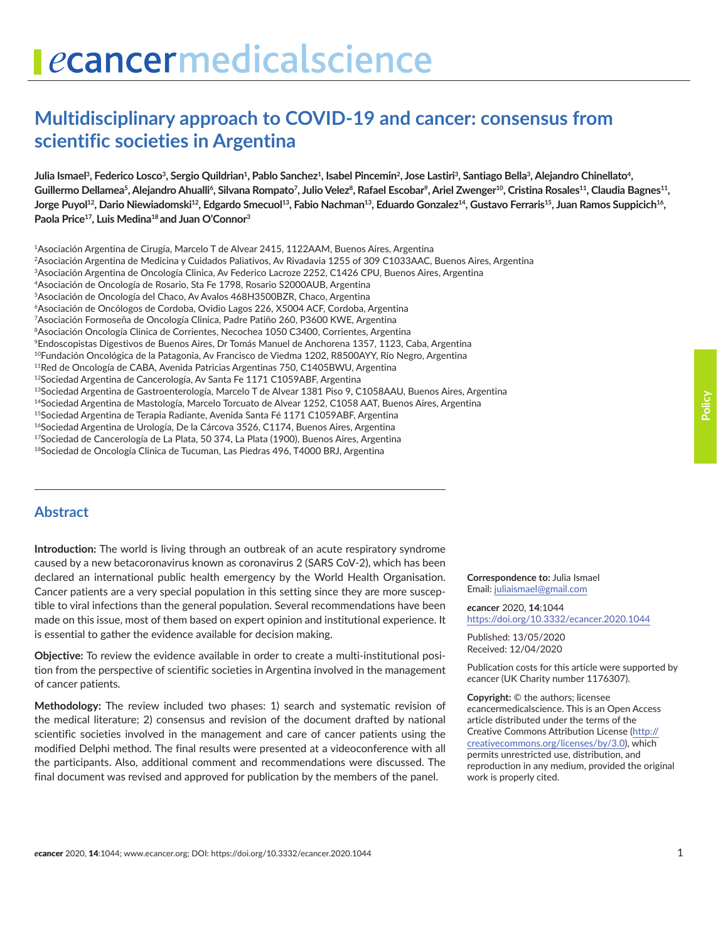# **Multidisciplinary approach to COVID-19 and cancer: consensus from scientific societies in Argentina**

Julia Ismael<sup>3</sup>, Federico Losco<sup>3</sup>, Sergio Quildrian<sup>1</sup>, Pablo Sanchez<sup>1</sup>, Isabel Pincemin<sup>2</sup>, Jose Lastiri<sup>3</sup>, Santiago Bella<sup>3</sup>, Alejandro Chinellato<sup>4</sup>, Guillermo Dellamea<sup>s</sup>, Alejandro Ahualli', Silvana Rompato<sup>7</sup>, Julio Velez<sup>8</sup>, Rafael Escobar', Ariel Zwenger<sup>10</sup>, Cristina Rosales<sup>11</sup>, Claudia Bagnes<sup>11</sup>, Jorge Puyol<sup>12</sup>, Dario Niewiadomski<sup>12</sup>, Edgardo Smecuol<sup>13</sup>, Fabio Nachman<sup>13</sup>, Eduardo Gonzalez<sup>14</sup>, Gustavo Ferraris<sup>15</sup>, Juan Ramos Suppicich<sup>16</sup>, **Paola Price17, Luis Medina18 and Juan O'Connor3**

1Asociación Argentina de Cirugía, Marcelo T de Alvear 2415, 1122AAM, Buenos Aires, Argentina

2Asociación Argentina de Medicina y Cuidados Paliativos, Av Rivadavia 1255 of 309 C1033AAC, Buenos Aires, Argentina

3Asociación Argentina de Oncología Clinica, Av Federico Lacroze 2252, C1426 CPU, Buenos Aires, Argentina

4Asociación de Oncología de Rosario, Sta Fe 1798, Rosario S2000AUB, Argentina

5Asociación de Oncología del Chaco, Av Avalos 468H3500BZR, Chaco, Argentina

6Asociación de Oncólogos de Cordoba, Ovidio Lagos 226, X5004 ACF, Cordoba, Argentina

7Asociación Formoseña de Oncología Clinica, Padre Patiño 260, P3600 KWE, Argentina

<sup>8</sup>Asociación Oncología Clinica de Corrientes, Necochea 1050 C3400, Corrientes, Argentina

9Endoscopistas Digestivos de Buenos Aires, Dr Tomás Manuel de Anchorena 1357, 1123, Caba, Argentina

<sup>10</sup>Fundación Oncológica de la Patagonia, Av Francisco de Viedma 1202, R8500AYY, Río Negro, Argentina

- 11Red de Oncología de CABA, Avenida Patricias Argentinas 750, C1405BWU, Argentina
- 12Sociedad Argentina de Cancerología, Av Santa Fe 1171 C1059ABF, Argentina

<sup>13</sup>Sociedad Argentina de Gastroenterología, Marcelo T de Alvear 1381 Piso 9, C1058AAU, Buenos Aires, Argentina

<sup>14</sup>Sociedad Argentina de Mastología, Marcelo Torcuato de Alvear 1252, C1058 AAT, Buenos Aires, Argentina

<sup>15</sup>Sociedad Argentina de Terapia Radiante, Avenida Santa Fé 1171 C1059ABF, Argentina

<sup>16</sup>Sociedad Argentina de Urología, De la Cárcova 3526, C1174, Buenos Aires, Argentina  $17$ Sociedad de Cancerología de La Plata, 50 374, La Plata (1900), Buenos Aires, Argentina

18Sociedad de Oncología Clinica de Tucuman, Las Piedras 496, T4000 BRJ, Argentina

### **Abstract**

**Introduction:** The world is living through an outbreak of an acute respiratory syndrome caused by a new betacoronavirus known as coronavirus 2 (SARS CoV-2), which has been declared an international public health emergency by the World Health Organisation. Cancer patients are a very special population in this setting since they are more susceptible to viral infections than the general population. Several recommendations have been made on this issue, most of them based on expert opinion and institutional experience. It is essential to gather the evidence available for decision making.

**Objective:** To review the evidence available in order to create a multi-institutional position from the perspective of scientific societies in Argentina involved in the management of cancer patients.

**Methodology:** The review included two phases: 1) search and systematic revision of the medical literature; 2) consensus and revision of the document drafted by national scientific societies involved in the management and care of cancer patients using the modified Delphi method. The final results were presented at a videoconference with all the participants. Also, additional comment and recommendations were discussed. The final document was revised and approved for publication by the members of the panel.

**Correspondence to:** Julia Ismael Email: [juliaismael@gmail.com](mailto:juliaismael@gmail.com)

*e***cancer** 2020, **14**:1044 [https://doi.org/10.3332/ecancer.2020.104](https://doi.org/10.3332/ecancer.2020.1044)4

Published: 13/05/2020 Received: 12/04/2020

Publication costs for this article were supported by *e*cancer (UK Charity number 1176307).

**Copyright:** © the authors; licensee *e*cancermedicalscience. This is an Open Access article distributed under the terms of the Creative Commons Attribution License [\(http://](http://creativecommons.org/licenses/by/3.0) [creativecommons.org/licenses/by/3.0\)](http://creativecommons.org/licenses/by/3.0), which permits unrestricted use, distribution, and reproduction in any medium, provided the original work is properly cited.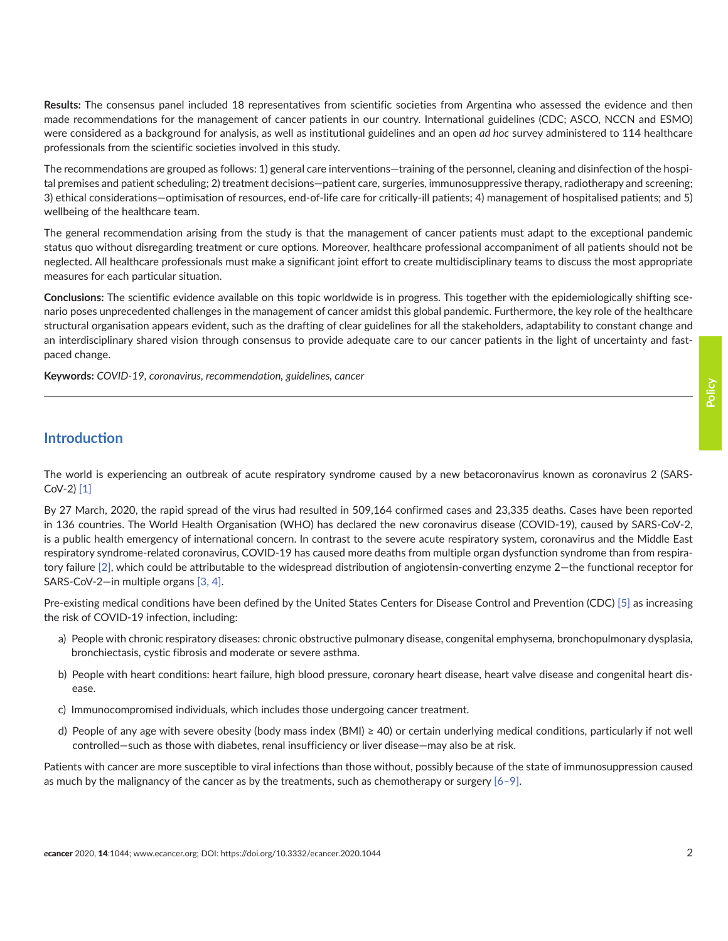**Results:** The consensus panel included 18 representatives from scientific societies from Argentina who assessed the evidence and then made recommendations for the management of cancer patients in our country. International guidelines (CDC; ASCO, NCCN and ESMO) were considered as a background for analysis, as well as institutional guidelines and an open *ad hoc* survey administered to 114 healthcare professionals from the scientific societies involved in this study.

The recommendations are grouped as follows: 1) general care interventions—training of the personnel, cleaning and disinfection of the hospital premises and patient scheduling; 2) treatment decisions—patient care, surgeries, immunosuppressive therapy, radiotherapy and screening; 3) ethical considerations—optimisation of resources, end-of-life care for critically-ill patients; 4) management of hospitalised patients; and 5) wellbeing of the healthcare team.

The general recommendation arising from the study is that the management of cancer patients must adapt to the exceptional pandemic status quo without disregarding treatment or cure options. Moreover, healthcare professional accompaniment of all patients should not be neglected. All healthcare professionals must make a significant joint effort to create multidisciplinary teams to discuss the most appropriate measures for each particular situation.

**Conclusions:** The scientific evidence available on this topic worldwide is in progress. This together with the epidemiologically shifting scenario poses unprecedented challenges in the management of cancer amidst this global pandemic. Furthermore, the key role of the healthcare structural organisation appears evident, such as the drafting of clear guidelines for all the stakeholders, adaptability to constant change and an interdisciplinary shared vision through consensus to provide adequate care to our cancer patients in the light of uncertainty and fastpaced change.

**Keywords:** *COVID-19, coronavirus, recommendation, guidelines, cancer*

### **Introduction**

The world is experiencing an outbreak of acute respiratory syndrome caused by a new betacoronavirus known as coronavirus 2 (SARS-CoV-2) [\[1\]](#page-15-0)

By 27 March, 2020, the rapid spread of the virus had resulted in 509,164 confirmed cases and 23,335 deaths. Cases have been reported in 136 countries. The World Health Organisation (WHO) has declared the new coronavirus disease (COVID-19), caused by SARS-CoV-2, is a public health emergency of international concern. In contrast to the severe acute respiratory system, coronavirus and the Middle East respiratory syndrome-related coronavirus, COVID-19 has caused more deaths from multiple organ dysfunction syndrome than from respiratory failure [\[2\]](#page-15-0), which could be attributable to the widespread distribution of angiotensin-converting enzyme 2—the functional receptor for SARS-CoV-2—in multiple organs [\[3,](#page-15-0) [4\]](#page-16-0).

Pre-existing medical conditions have been defined by the United States Centers for Disease Control and Prevention (CDC) [\[5\]](#page-16-0) as increasing the risk of COVID-19 infection, including:

- a) People with chronic respiratory diseases: chronic obstructive pulmonary disease, congenital emphysema, bronchopulmonary dysplasia, bronchiectasis, cystic fibrosis and moderate or severe asthma.
- b) People with heart conditions: heart failure, high blood pressure, coronary heart disease, heart valve disease and congenital heart disease.
- c) Immunocompromised individuals, which includes those undergoing cancer treatment.
- d) People of any age with severe obesity (body mass index (BMI) ≥ 40) or certain underlying medical conditions, particularly if not well controlled—such as those with diabetes, renal insufficiency or liver disease—may also be at risk.

Patients with cancer are more susceptible to viral infections than those without, possibly because of the state of immunosuppression caused as much by the malignancy of the cancer as by the treatments, such as chemotherapy or surgery  $[6-9]$ .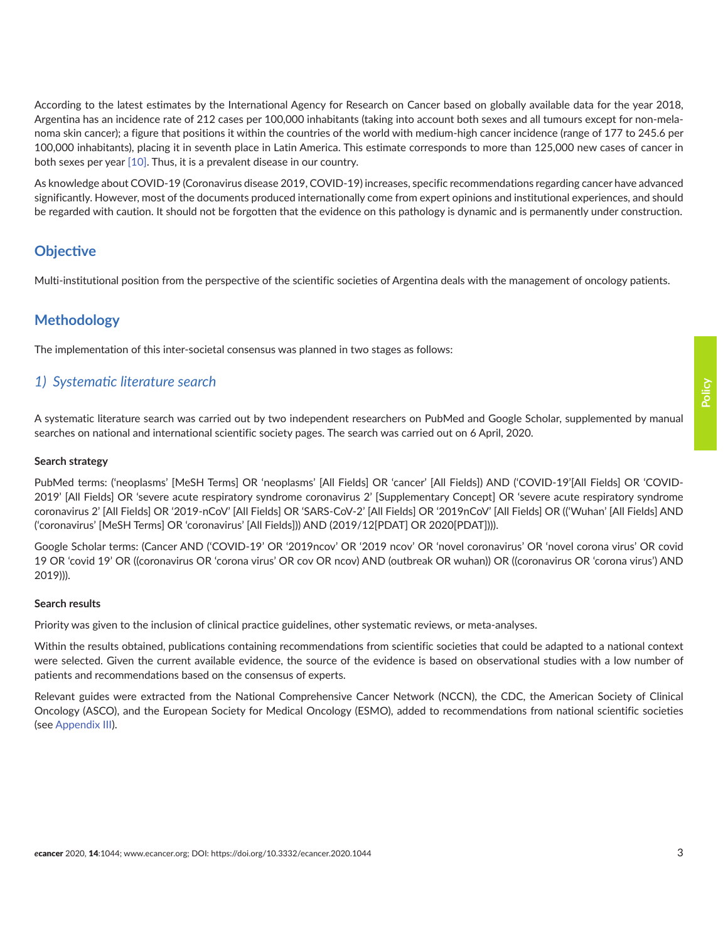According to the latest estimates by the International Agency for Research on Cancer based on globally available data for the year 2018, Argentina has an incidence rate of 212 cases per 100,000 inhabitants (taking into account both sexes and all tumours except for non-melanoma skin cancer); a figure that positions it within the countries of the world with medium-high cancer incidence (range of 177 to 245.6 per 100,000 inhabitants), placing it in seventh place in Latin America. This estimate corresponds to more than 125,000 new cases of cancer in both sexes per year [\[10\]](#page-16-0). Thus, it is a prevalent disease in our country.

As knowledge about COVID-19 (Coronavirus disease 2019, COVID-19) increases, specific recommendations regarding cancer have advanced significantly. However, most of the documents produced internationally come from expert opinions and institutional experiences, and should be regarded with caution. It should not be forgotten that the evidence on this pathology is dynamic and is permanently under construction.

### **Objective**

Multi-institutional position from the perspective of the scientific societies of Argentina deals with the management of oncology patients.

### **Methodology**

The implementation of this inter-societal consensus was planned in two stages as follows:

### *1) Systematic literature search*

A systematic literature search was carried out by two independent researchers on PubMed and Google Scholar, supplemented by manual searches on national and international scientific society pages. The search was carried out on 6 April, 2020.

#### **Search strategy**

PubMed terms: ('neoplasms' [MeSH Terms] OR 'neoplasms' [All Fields] OR 'cancer' [All Fields]) AND ('COVID-19'[All Fields] OR 'COVID-2019' [All Fields] OR 'severe acute respiratory syndrome coronavirus 2' [Supplementary Concept] OR 'severe acute respiratory syndrome coronavirus 2' [All Fields] OR '2019-nCoV' [All Fields] OR 'SARS-CoV-2' [All Fields] OR '2019nCoV' [All Fields] OR (('Wuhan' [All Fields] AND ('coronavirus' [MeSH Terms] OR 'coronavirus' [All Fields])) AND (2019/12[PDAT] OR 2020[PDAT]))).

Google Scholar terms: (Cancer AND ('COVID-19' OR '2019ncov' OR '2019 ncov' OR 'novel coronavirus' OR 'novel corona virus' OR covid 19 OR 'covid 19' OR ((coronavirus OR 'corona virus' OR cov OR ncov) AND (outbreak OR wuhan)) OR ((coronavirus OR 'corona virus') AND 2019))).

#### **Search results**

Priority was given to the inclusion of clinical practice guidelines, other systematic reviews, or meta-analyses.

Within the results obtained, publications containing recommendations from scientific societies that could be adapted to a national context were selected. Given the current available evidence, the source of the evidence is based on observational studies with a low number of patients and recommendations based on the consensus of experts.

Relevant guides were extracted from the National Comprehensive Cancer Network (NCCN), the CDC, the American Society of Clinical Oncology (ASCO), and the European Society for Medical Oncology (ESMO), added to recommendations from national scientific societies (see [Appendix III](#page-20-0)).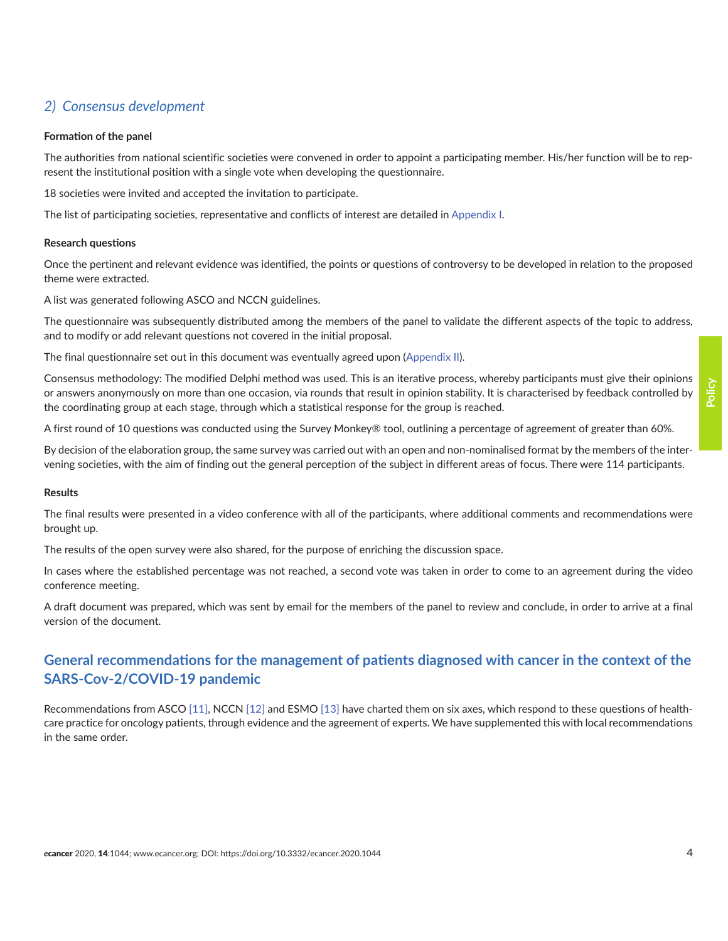# *2) Consensus development*

#### **Formation of the panel**

The authorities from national scientific societies were convened in order to appoint a participating member. His/her function will be to represent the institutional position with a single vote when developing the questionnaire.

18 societies were invited and accepted the invitation to participate.

The list of participating societies, representative and conflicts of interest are detailed in [Appendix I](#page-18-0).

#### **Research questions**

Once the pertinent and relevant evidence was identified, the points or questions of controversy to be developed in relation to the proposed theme were extracted.

A list was generated following ASCO and NCCN guidelines.

The questionnaire was subsequently distributed among the members of the panel to validate the different aspects of the topic to address, and to modify or add relevant questions not covered in the initial proposal.

The final questionnaire set out in this document was eventually agreed upon ([Appendix II\)](#page-18-0).

Consensus methodology: The modified Delphi method was used. This is an iterative process, whereby participants must give their opinions or answers anonymously on more than one occasion, via rounds that result in opinion stability. It is characterised by feedback controlled by the coordinating group at each stage, through which a statistical response for the group is reached.

A first round of 10 questions was conducted using the Survey Monkey® tool, outlining a percentage of agreement of greater than 60%.

By decision of the elaboration group, the same survey was carried out with an open and non-nominalised format by the members of the intervening societies, with the aim of finding out the general perception of the subject in different areas of focus. There were 114 participants.

#### **Results**

The final results were presented in a video conference with all of the participants, where additional comments and recommendations were brought up.

The results of the open survey were also shared, for the purpose of enriching the discussion space.

In cases where the established percentage was not reached, a second vote was taken in order to come to an agreement during the video conference meeting.

A draft document was prepared, which was sent by email for the members of the panel to review and conclude, in order to arrive at a final version of the document.

# **General recommendations for the management of patients diagnosed with cancer in the context of the SARS-Cov-2/COVID-19 pandemic**

Recommendations from ASCO [\[11\],](#page-16-0) NCCN [\[12\]](#page-16-0) and ESMO [\[13\]](#page-16-0) have charted them on six axes, which respond to these questions of healthcare practice for oncology patients, through evidence and the agreement of experts. We have supplemented this with local recommendations in the same order.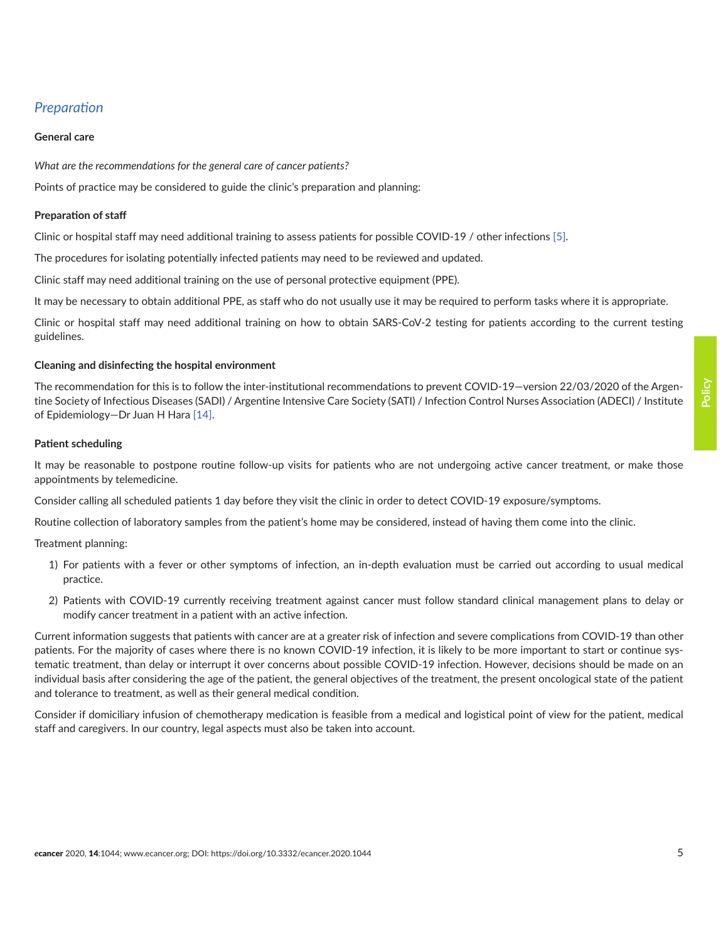# *Preparation*

#### **General care**

*What are the recommendations for the general care of cancer patients?*

Points of practice may be considered to guide the clinic's preparation and planning:

#### **Preparation of staff**

Clinic or hospital staff may need additional training to assess patients for possible COVID-19 / other infections [\[5\].](#page-16-0)

The procedures for isolating potentially infected patients may need to be reviewed and updated.

Clinic staff may need additional training on the use of personal protective equipment (PPE).

It may be necessary to obtain additional PPE, as staff who do not usually use it may be required to perform tasks where it is appropriate.

Clinic or hospital staff may need additional training on how to obtain SARS-CoV-2 testing for patients according to the current testing guidelines.

#### **Cleaning and disinfecting the hospital environment**

The recommendation for this is to follow the inter-institutional recommendations to prevent COVID-19—version 22/03/2020 of the Argentine Society of Infectious Diseases (SADI) / Argentine Intensive Care Society (SATI) / Infection Control Nurses Association (ADECI) / Institute of Epidemiology—Dr Juan H Hara [\[14\]](#page-16-0).

#### **Patient scheduling**

It may be reasonable to postpone routine follow-up visits for patients who are not undergoing active cancer treatment, or make those appointments by telemedicine.

Consider calling all scheduled patients 1 day before they visit the clinic in order to detect COVID-19 exposure/symptoms.

Routine collection of laboratory samples from the patient's home may be considered, instead of having them come into the clinic.

Treatment planning:

- 1) For patients with a fever or other symptoms of infection, an in-depth evaluation must be carried out according to usual medical practice.
- 2) Patients with COVID-19 currently receiving treatment against cancer must follow standard clinical management plans to delay or modify cancer treatment in a patient with an active infection.

Current information suggests that patients with cancer are at a greater risk of infection and severe complications from COVID-19 than other patients. For the majority of cases where there is no known COVID-19 infection, it is likely to be more important to start or continue systematic treatment, than delay or interrupt it over concerns about possible COVID-19 infection. However, decisions should be made on an individual basis after considering the age of the patient, the general objectives of the treatment, the present oncological state of the patient and tolerance to treatment, as well as their general medical condition.

Consider if domiciliary infusion of chemotherapy medication is feasible from a medical and logistical point of view for the patient, medical staff and caregivers. In our country, legal aspects must also be taken into account.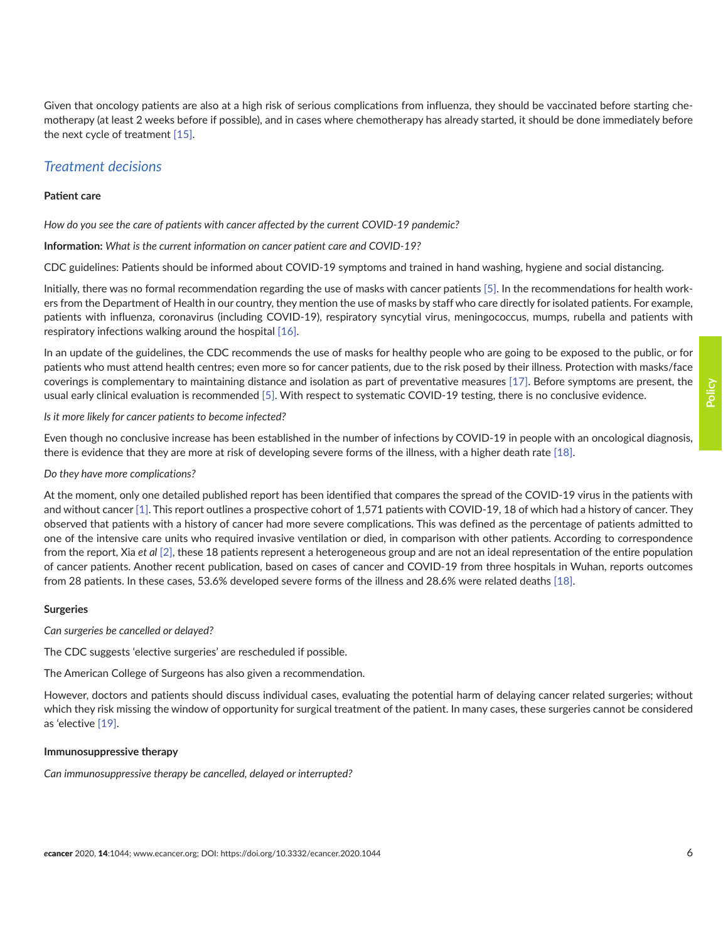Given that oncology patients are also at a high risk of serious complications from influenza, they should be vaccinated before starting chemotherapy (at least 2 weeks before if possible), and in cases where chemotherapy has already started, it should be done immediately before the next cycle of treatment [\[15\].](#page-16-0)

### *Treatment decisions*

#### **Patient care**

*How do you see the care of patients with cancer affected by the current COVID-19 pandemic?* 

**Information:** *What is the current information on cancer patient care and COVID-19?* 

CDC guidelines: Patients should be informed about COVID-19 symptoms and trained in hand washing, hygiene and social distancing.

Initially, there was no formal recommendation regarding the use of masks with cancer patients [\[5\].](#page-16-0) In the recommendations for health workers from the Department of Health in our country, they mention the use of masks by staff who care directly for isolated patients. For example, patients with influenza, coronavirus (including COVID-19), respiratory syncytial virus, meningococcus, mumps, rubella and patients with respiratory infections walking around the hospital [\[16\].](#page-16-0)

In an update of the guidelines, the CDC recommends the use of masks for healthy people who are going to be exposed to the public, or for patients who must attend health centres; even more so for cancer patients, due to the risk posed by their illness. Protection with masks/face coverings is complementary to maintaining distance and isolation as part of preventative measures [\[17\]](#page-16-0). Before symptoms are present, the usual early clinical evaluation is recommended [\[5\]](#page-16-0). With respect to systematic COVID-19 testing, there is no conclusive evidence.

*Is it more likely for cancer patients to become infected?* 

Even though no conclusive increase has been established in the number of infections by COVID-19 in people with an oncological diagnosis, there is evidence that they are more at risk of developing severe forms of the illness, with a higher death rate [\[18\].](#page-16-0)

#### *Do they have more complications?*

At the moment, only one detailed published report has been identified that compares the spread of the COVID-19 virus in the patients with and without cancer [\[1\].](#page-15-0) This report outlines a prospective cohort of 1,571 patients with COVID-19, 18 of which had a history of cancer. They observed that patients with a history of cancer had more severe complications. This was defined as the percentage of patients admitted to one of the intensive care units who required invasive ventilation or died, in comparison with other patients. According to correspondence from the report, Xia *et al* [\[2\]](#page-15-0), these 18 patients represent a heterogeneous group and are not an ideal representation of the entire population of cancer patients. Another recent publication, based on cases of cancer and COVID-19 from three hospitals in Wuhan, reports outcomes from 28 patients. In these cases, 53.6% developed severe forms of the illness and 28.6% were related deaths [\[18\].](#page-16-0)

#### **Surgeries**

*Can surgeries be cancelled or delayed?* 

The CDC suggests 'elective surgeries' are rescheduled if possible.

The American College of Surgeons has also given a recommendation.

However, doctors and patients should discuss individual cases, evaluating the potential harm of delaying cancer related surgeries; without which they risk missing the window of opportunity for surgical treatment of the patient. In many cases, these surgeries cannot be considered as 'elective [\[19\]](#page-16-0).

#### **Immunosuppressive therapy**

*Can immunosuppressive therapy be cancelled, delayed or interrupted?*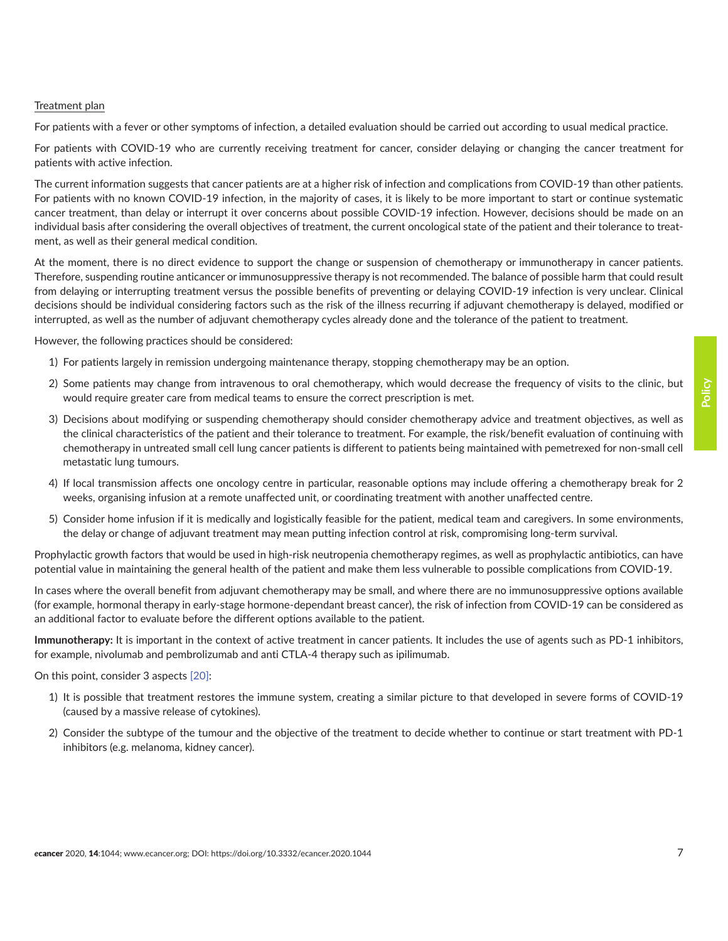#### Treatment plan

For patients with a fever or other symptoms of infection, a detailed evaluation should be carried out according to usual medical practice.

For patients with COVID-19 who are currently receiving treatment for cancer, consider delaying or changing the cancer treatment for patients with active infection.

The current information suggests that cancer patients are at a higher risk of infection and complications from COVID-19 than other patients. For patients with no known COVID-19 infection, in the majority of cases, it is likely to be more important to start or continue systematic cancer treatment, than delay or interrupt it over concerns about possible COVID-19 infection. However, decisions should be made on an individual basis after considering the overall objectives of treatment, the current oncological state of the patient and their tolerance to treatment, as well as their general medical condition.

At the moment, there is no direct evidence to support the change or suspension of chemotherapy or immunotherapy in cancer patients. Therefore, suspending routine anticancer or immunosuppressive therapy is not recommended. The balance of possible harm that could result from delaying or interrupting treatment versus the possible benefits of preventing or delaying COVID-19 infection is very unclear. Clinical decisions should be individual considering factors such as the risk of the illness recurring if adjuvant chemotherapy is delayed, modified or interrupted, as well as the number of adjuvant chemotherapy cycles already done and the tolerance of the patient to treatment.

However, the following practices should be considered:

- 1) For patients largely in remission undergoing maintenance therapy, stopping chemotherapy may be an option.
- 2) Some patients may change from intravenous to oral chemotherapy, which would decrease the frequency of visits to the clinic, but would require greater care from medical teams to ensure the correct prescription is met.
- 3) Decisions about modifying or suspending chemotherapy should consider chemotherapy advice and treatment objectives, as well as the clinical characteristics of the patient and their tolerance to treatment. For example, the risk/benefit evaluation of continuing with chemotherapy in untreated small cell lung cancer patients is different to patients being maintained with pemetrexed for non-small cell metastatic lung tumours.
- 4) If local transmission affects one oncology centre in particular, reasonable options may include offering a chemotherapy break for 2 weeks, organising infusion at a remote unaffected unit, or coordinating treatment with another unaffected centre.
- 5) Consider home infusion if it is medically and logistically feasible for the patient, medical team and caregivers. In some environments, the delay or change of adjuvant treatment may mean putting infection control at risk, compromising long-term survival.

Prophylactic growth factors that would be used in high-risk neutropenia chemotherapy regimes, as well as prophylactic antibiotics, can have potential value in maintaining the general health of the patient and make them less vulnerable to possible complications from COVID-19.

In cases where the overall benefit from adjuvant chemotherapy may be small, and where there are no immunosuppressive options available (for example, hormonal therapy in early-stage hormone-dependant breast cancer), the risk of infection from COVID-19 can be considered as an additional factor to evaluate before the different options available to the patient.

**Immunotherapy:** It is important in the context of active treatment in cancer patients. It includes the use of agents such as PD-1 inhibitors, for example, nivolumab and pembrolizumab and anti CTLA-4 therapy such as ipilimumab.

On this point, consider 3 aspects [\[20\]:](#page-16-0)

- 1) It is possible that treatment restores the immune system, creating a similar picture to that developed in severe forms of COVID-19 (caused by a massive release of cytokines).
- 2) Consider the subtype of the tumour and the objective of the treatment to decide whether to continue or start treatment with PD-1 inhibitors (e.g. melanoma, kidney cancer).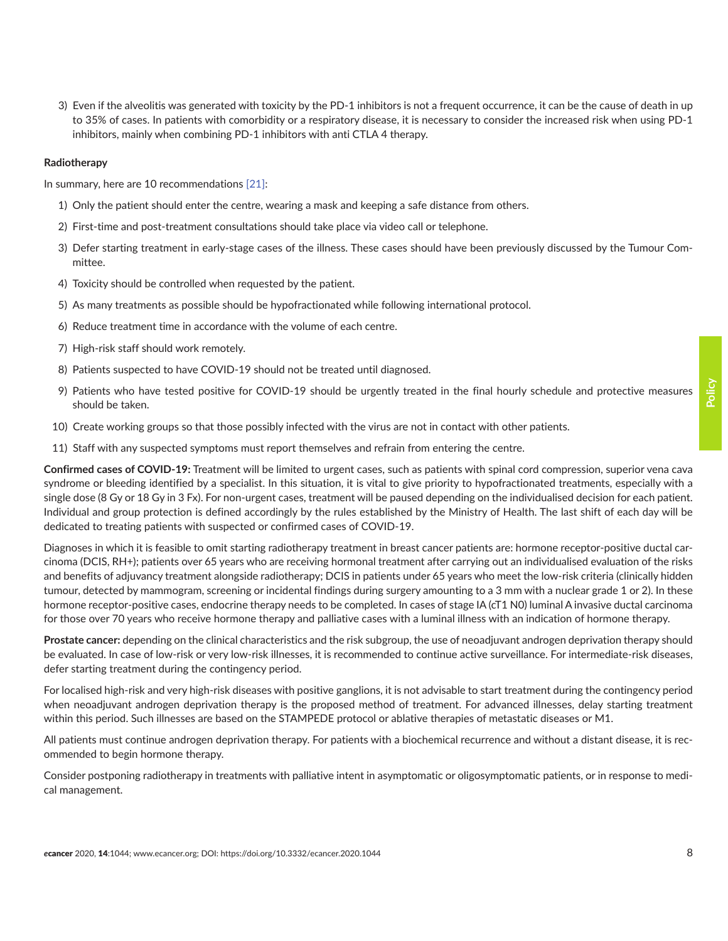3) Even if the alveolitis was generated with toxicity by the PD-1 inhibitors is not a frequent occurrence, it can be the cause of death in up to 35% of cases. In patients with comorbidity or a respiratory disease, it is necessary to consider the increased risk when using PD-1 inhibitors, mainly when combining PD-1 inhibitors with anti CTLA 4 therapy.

#### **Radiotherapy**

In summary, here are 10 recommendations [\[21\]:](#page-16-0)

- 1) Only the patient should enter the centre, wearing a mask and keeping a safe distance from others.
- 2) First-time and post-treatment consultations should take place via video call or telephone.
- 3) Defer starting treatment in early-stage cases of the illness. These cases should have been previously discussed by the Tumour Committee.
- 4) Toxicity should be controlled when requested by the patient.
- 5) As many treatments as possible should be hypofractionated while following international protocol.
- 6) Reduce treatment time in accordance with the volume of each centre.
- 7) High-risk staff should work remotely.
- 8) Patients suspected to have COVID-19 should not be treated until diagnosed.
- 9) Patients who have tested positive for COVID-19 should be urgently treated in the final hourly schedule and protective measures should be taken.
- 10) Create working groups so that those possibly infected with the virus are not in contact with other patients.
- 11) Staff with any suspected symptoms must report themselves and refrain from entering the centre.

**Confirmed cases of COVID-19:** Treatment will be limited to urgent cases, such as patients with spinal cord compression, superior vena cava syndrome or bleeding identified by a specialist. In this situation, it is vital to give priority to hypofractionated treatments, especially with a single dose (8 Gy or 18 Gy in 3 Fx). For non-urgent cases, treatment will be paused depending on the individualised decision for each patient. Individual and group protection is defined accordingly by the rules established by the Ministry of Health. The last shift of each day will be dedicated to treating patients with suspected or confirmed cases of COVID-19.

Diagnoses in which it is feasible to omit starting radiotherapy treatment in breast cancer patients are: hormone receptor-positive ductal carcinoma (DCIS, RH+); patients over 65 years who are receiving hormonal treatment after carrying out an individualised evaluation of the risks and benefits of adjuvancy treatment alongside radiotherapy; DCIS in patients under 65 years who meet the low-risk criteria (clinically hidden tumour, detected by mammogram, screening or incidental findings during surgery amounting to a 3 mm with a nuclear grade 1 or 2). In these hormone receptor-positive cases, endocrine therapy needs to be completed. In cases of stage IA (cT1 N0) luminal A invasive ductal carcinoma for those over 70 years who receive hormone therapy and palliative cases with a luminal illness with an indication of hormone therapy.

**Prostate cancer:** depending on the clinical characteristics and the risk subgroup, the use of neoadjuvant androgen deprivation therapy should be evaluated. In case of low-risk or very low-risk illnesses, it is recommended to continue active surveillance. For intermediate-risk diseases, defer starting treatment during the contingency period.

For localised high-risk and very high-risk diseases with positive ganglions, it is not advisable to start treatment during the contingency period when neoadjuvant androgen deprivation therapy is the proposed method of treatment. For advanced illnesses, delay starting treatment within this period. Such illnesses are based on the STAMPEDE protocol or ablative therapies of metastatic diseases or M1.

All patients must continue androgen deprivation therapy. For patients with a biochemical recurrence and without a distant disease, it is recommended to begin hormone therapy.

Consider postponing radiotherapy in treatments with palliative intent in asymptomatic or oligosymptomatic patients, or in response to medical management.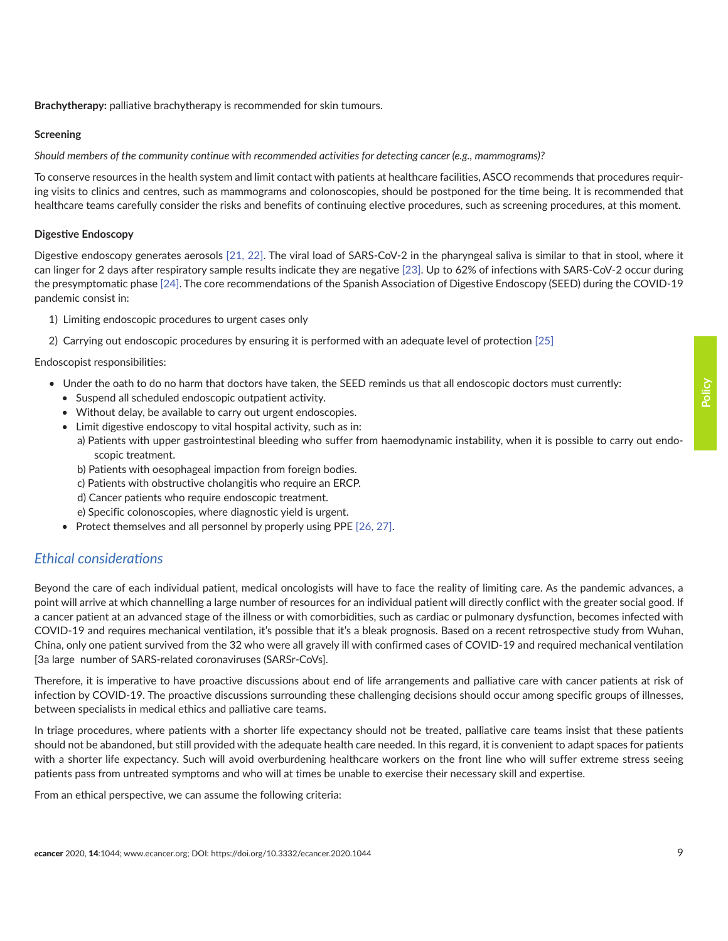**Brachytherapy:** palliative brachytherapy is recommended for skin tumours.

#### **Screening**

*Should members of the community continue with recommended activities for detecting cancer (e.g., mammograms)?*

To conserve resources in the health system and limit contact with patients at healthcare facilities, ASCO recommends that procedures requiring visits to clinics and centres, such as mammograms and colonoscopies, should be postponed for the time being. It is recommended that healthcare teams carefully consider the risks and benefits of continuing elective procedures, such as screening procedures, at this moment.

#### **Digestive Endoscopy**

Digestive endoscopy generates aerosols [\[21, 22\].](#page-16-0) The viral load of SARS-CoV-2 in the pharyngeal saliva is similar to that in stool, where it can linger for 2 days after respiratory sample results indicate they are negative [\[23\]](#page-17-0). Up to 62% of infections with SARS-CoV-2 occur during the presymptomatic phase [\[24\].](#page-17-0) The core recommendations of the Spanish Association of Digestive Endoscopy (SEED) during the COVID-19 pandemic consist in:

- 1) Limiting endoscopic procedures to urgent cases only
- 2) Carrying out endoscopic procedures by ensuring it is performed with an adequate level of protection [\[25\]](#page-17-0)

Endoscopist responsibilities:

- Under the oath to do no harm that doctors have taken, the SEED reminds us that all endoscopic doctors must currently:
	- Suspend all scheduled endoscopic outpatient activity.
	- Without delay, be available to carry out urgent endoscopies.
	- Limit digestive endoscopy to vital hospital activity, such as in:
	- a) Patients with upper gastrointestinal bleeding who suffer from haemodynamic instability, when it is possible to carry out endoscopic treatment.
	- b) Patients with oesophageal impaction from foreign bodies.
	- c) Patients with obstructive cholangitis who require an ERCP.
	- d) Cancer patients who require endoscopic treatment.
	- e) Specific colonoscopies, where diagnostic yield is urgent.
	- Protect themselves and all personnel by properly using PPE [\[26,](#page-17-0) [27\].](#page-17-0)

### *Ethical considerations*

Beyond the care of each individual patient, medical oncologists will have to face the reality of limiting care. As the pandemic advances, a point will arrive at which channelling a large number of resources for an individual patient will directly conflict with the greater social good. If a cancer patient at an advanced stage of the illness or with comorbidities, such as cardiac or pulmonary dysfunction, becomes infected with COVID-19 and requires mechanical ventilation, it's possible that it's a bleak prognosis. Based on a recent retrospective study from Wuhan, China, only one patient survived from the 32 who were all gravely ill with confirmed cases of COVID-19 and required mechanical ventilation [3a large number of SARS-related coronaviruses (SARSr-CoVs].

Therefore, it is imperative to have proactive discussions about end of life arrangements and palliative care with cancer patients at risk of infection by COVID-19. The proactive discussions surrounding these challenging decisions should occur among specific groups of illnesses, between specialists in medical ethics and palliative care teams.

In triage procedures, where patients with a shorter life expectancy should not be treated, palliative care teams insist that these patients should not be abandoned, but still provided with the adequate health care needed. In this regard, it is convenient to adapt spaces for patients with a shorter life expectancy. Such will avoid overburdening healthcare workers on the front line who will suffer extreme stress seeing patients pass from untreated symptoms and who will at times be unable to exercise their necessary skill and expertise.

From an ethical perspective, we can assume the following criteria: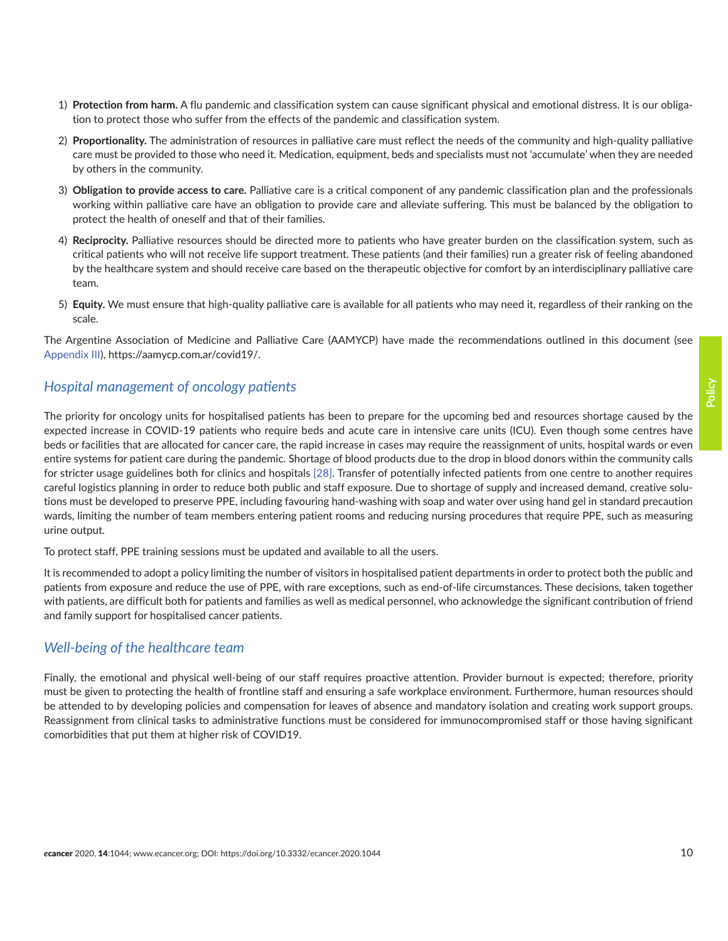- 1) **Protection from harm.** A flu pandemic and classification system can cause significant physical and emotional distress. It is our obligation to protect those who suffer from the effects of the pandemic and classification system.
- 2) **Proportionality.** The administration of resources in palliative care must reflect the needs of the community and high-quality palliative care must be provided to those who need it. Medication, equipment, beds and specialists must not 'accumulate' when they are needed by others in the community.
- 3) **Obligation to provide access to care.** Palliative care is a critical component of any pandemic classification plan and the professionals working within palliative care have an obligation to provide care and alleviate suffering. This must be balanced by the obligation to protect the health of oneself and that of their families.
- 4) **Reciprocity.** Palliative resources should be directed more to patients who have greater burden on the classification system, such as critical patients who will not receive life support treatment. These patients (and their families) run a greater risk of feeling abandoned by the healthcare system and should receive care based on the therapeutic objective for comfort by an interdisciplinary palliative care team.
- 5) **Equity.** We must ensure that high-quality palliative care is available for all patients who may need it, regardless of their ranking on the scale.

The Argentine Association of Medicine and Palliative Care (AAMYCP) have made the recommendations outlined in this document (see [Appendix III](#page-20-0)), https://aamycp.com.ar/covid19/.

### *Hospital management of oncology patients*

The priority for oncology units for hospitalised patients has been to prepare for the upcoming bed and resources shortage caused by the expected increase in COVID-19 patients who require beds and acute care in intensive care units (ICU). Even though some centres have beds or facilities that are allocated for cancer care, the rapid increase in cases may require the reassignment of units, hospital wards or even entire systems for patient care during the pandemic. Shortage of blood products due to the drop in blood donors within the community calls for stricter usage guidelines both for clinics and hospitals [\[28\].](#page-17-0) Transfer of potentially infected patients from one centre to another requires careful logistics planning in order to reduce both public and staff exposure. Due to shortage of supply and increased demand, creative solutions must be developed to preserve PPE, including favouring hand-washing with soap and water over using hand gel in standard precaution wards, limiting the number of team members entering patient rooms and reducing nursing procedures that require PPE, such as measuring urine output.

To protect staff, PPE training sessions must be updated and available to all the users.

It is recommended to adopt a policy limiting the number of visitors in hospitalised patient departments in order to protect both the public and patients from exposure and reduce the use of PPE, with rare exceptions, such as end-of-life circumstances. These decisions, taken together with patients, are difficult both for patients and families as well as medical personnel, who acknowledge the significant contribution of friend and family support for hospitalised cancer patients.

### *Well-being of the healthcare team*

Finally, the emotional and physical well-being of our staff requires proactive attention. Provider burnout is expected; therefore, priority must be given to protecting the health of frontline staff and ensuring a safe workplace environment. Furthermore, human resources should be attended to by developing policies and compensation for leaves of absence and mandatory isolation and creating work support groups. Reassignment from clinical tasks to administrative functions must be considered for immunocompromised staff or those having significant comorbidities that put them at higher risk of COVID19.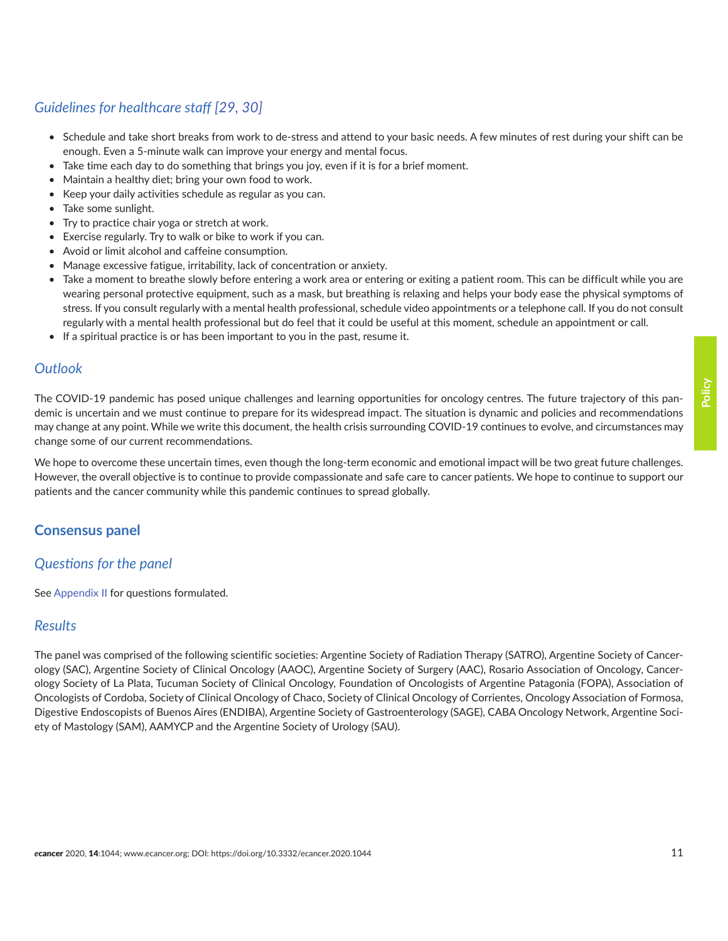# *Guidelines for healthcare staff [\[29, 30\]](#page-17-0)*

- Schedule and take short breaks from work to de-stress and attend to your basic needs. A few minutes of rest during your shift can be enough. Even a 5-minute walk can improve your energy and mental focus.
- Take time each day to do something that brings you joy, even if it is for a brief moment.
- Maintain a healthy diet; bring your own food to work.
- Keep your daily activities schedule as regular as you can.
- Take some sunlight.
- Try to practice chair yoga or stretch at work.
- Exercise regularly. Try to walk or bike to work if you can.
- Avoid or limit alcohol and caffeine consumption.
- Manage excessive fatigue, irritability, lack of concentration or anxiety.
- Take a moment to breathe slowly before entering a work area or entering or exiting a patient room. This can be difficult while you are wearing personal protective equipment, such as a mask, but breathing is relaxing and helps your body ease the physical symptoms of stress. If you consult regularly with a mental health professional, schedule video appointments or a telephone call. If you do not consult regularly with a mental health professional but do feel that it could be useful at this moment, schedule an appointment or call.
- If a spiritual practice is or has been important to you in the past, resume it.

### *Outlook*

The COVID-19 pandemic has posed unique challenges and learning opportunities for oncology centres. The future trajectory of this pandemic is uncertain and we must continue to prepare for its widespread impact. The situation is dynamic and policies and recommendations may change at any point. While we write this document, the health crisis surrounding COVID-19 continues to evolve, and circumstances may change some of our current recommendations.

We hope to overcome these uncertain times, even though the long-term economic and emotional impact will be two great future challenges. However, the overall objective is to continue to provide compassionate and safe care to cancer patients. We hope to continue to support our patients and the cancer community while this pandemic continues to spread globally.

### **Consensus panel**

### *Questions for the panel*

See [Appendix II](#page-18-0) for questions formulated.

### *Results*

The panel was comprised of the following scientific societies: Argentine Society of Radiation Therapy (SATRO), Argentine Society of Cancerology (SAC), Argentine Society of Clinical Oncology (AAOC), Argentine Society of Surgery (AAC), Rosario Association of Oncology, Cancerology Society of La Plata, Tucuman Society of Clinical Oncology, Foundation of Oncologists of Argentine Patagonia (FOPA), Association of Oncologists of Cordoba, Society of Clinical Oncology of Chaco, Society of Clinical Oncology of Corrientes, Oncology Association of Formosa, Digestive Endoscopists of Buenos Aires (ENDIBA), Argentine Society of Gastroenterology (SAGE), CABA Oncology Network, Argentine Society of Mastology (SAM), AAMYCP and the Argentine Society of Urology (SAU).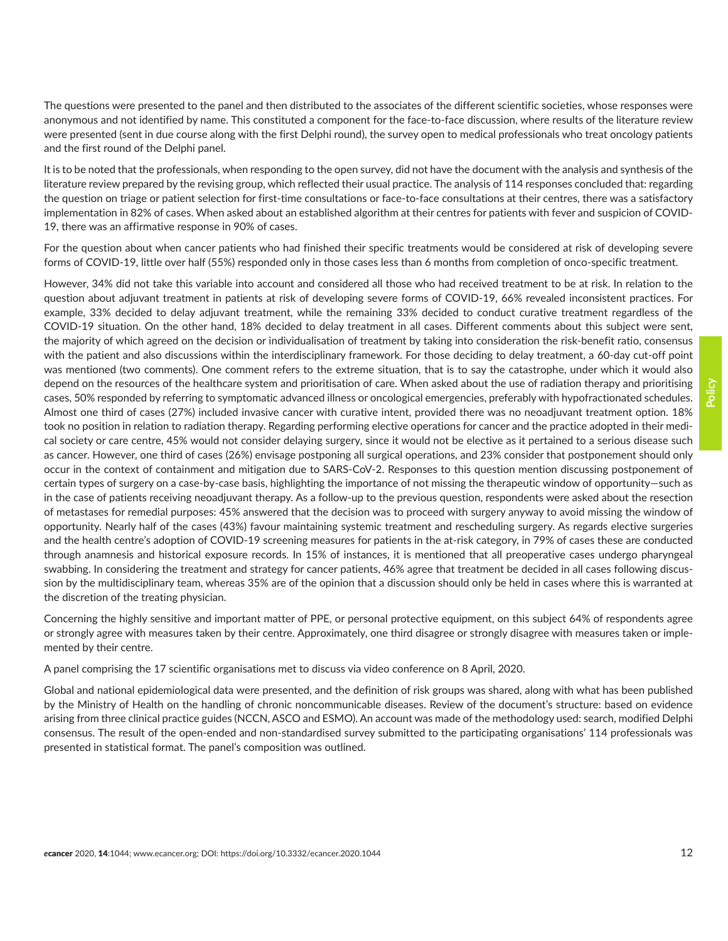It is to be noted that the professionals, when responding to the open survey, did not have the document with the analysis and synthesis of the literature review prepared by the revising group, which reflected their usual practice. The analysis of 114 responses concluded that: regarding the question on triage or patient selection for first-time consultations or face-to-face consultations at their centres, there was a satisfactory implementation in 82% of cases. When asked about an established algorithm at their centres for patients with fever and suspicion of COVID-19, there was an affirmative response in 90% of cases.

For the question about when cancer patients who had finished their specific treatments would be considered at risk of developing severe forms of COVID-19, little over half (55%) responded only in those cases less than 6 months from completion of onco-specific treatment.

However, 34% did not take this variable into account and considered all those who had received treatment to be at risk. In relation to the question about adjuvant treatment in patients at risk of developing severe forms of COVID-19, 66% revealed inconsistent practices. For example, 33% decided to delay adjuvant treatment, while the remaining 33% decided to conduct curative treatment regardless of the COVID-19 situation. On the other hand, 18% decided to delay treatment in all cases. Different comments about this subject were sent, the majority of which agreed on the decision or individualisation of treatment by taking into consideration the risk-benefit ratio, consensus with the patient and also discussions within the interdisciplinary framework. For those deciding to delay treatment, a 60-day cut-off point was mentioned (two comments). One comment refers to the extreme situation, that is to say the catastrophe, under which it would also depend on the resources of the healthcare system and prioritisation of care. When asked about the use of radiation therapy and prioritising cases, 50% responded by referring to symptomatic advanced illness or oncological emergencies, preferably with hypofractionated schedules. Almost one third of cases (27%) included invasive cancer with curative intent, provided there was no neoadjuvant treatment option. 18% took no position in relation to radiation therapy. Regarding performing elective operations for cancer and the practice adopted in their medical society or care centre, 45% would not consider delaying surgery, since it would not be elective as it pertained to a serious disease such as cancer. However, one third of cases (26%) envisage postponing all surgical operations, and 23% consider that postponement should only occur in the context of containment and mitigation due to SARS-CoV-2. Responses to this question mention discussing postponement of certain types of surgery on a case-by-case basis, highlighting the importance of not missing the therapeutic window of opportunity—such as in the case of patients receiving neoadjuvant therapy. As a follow-up to the previous question, respondents were asked about the resection of metastases for remedial purposes: 45% answered that the decision was to proceed with surgery anyway to avoid missing the window of opportunity. Nearly half of the cases (43%) favour maintaining systemic treatment and rescheduling surgery. As regards elective surgeries and the health centre's adoption of COVID-19 screening measures for patients in the at-risk category, in 79% of cases these are conducted through anamnesis and historical exposure records. In 15% of instances, it is mentioned that all preoperative cases undergo pharyngeal swabbing. In considering the treatment and strategy for cancer patients, 46% agree that treatment be decided in all cases following discussion by the multidisciplinary team, whereas 35% are of the opinion that a discussion should only be held in cases where this is warranted at the discretion of the treating physician.

Concerning the highly sensitive and important matter of PPE, or personal protective equipment, on this subject 64% of respondents agree or strongly agree with measures taken by their centre. Approximately, one third disagree or strongly disagree with measures taken or implemented by their centre.

A panel comprising the 17 scientific organisations met to discuss via video conference on 8 April, 2020.

Global and national epidemiological data were presented, and the definition of risk groups was shared, along with what has been published by the Ministry of Health on the handling of chronic noncommunicable diseases. Review of the document's structure: based on evidence arising from three clinical practice guides (NCCN, ASCO and ESMO). An account was made of the methodology used: search, modified Delphi consensus. The result of the open-ended and non-standardised survey submitted to the participating organisations' 114 professionals was presented in statistical format. The panel's composition was outlined.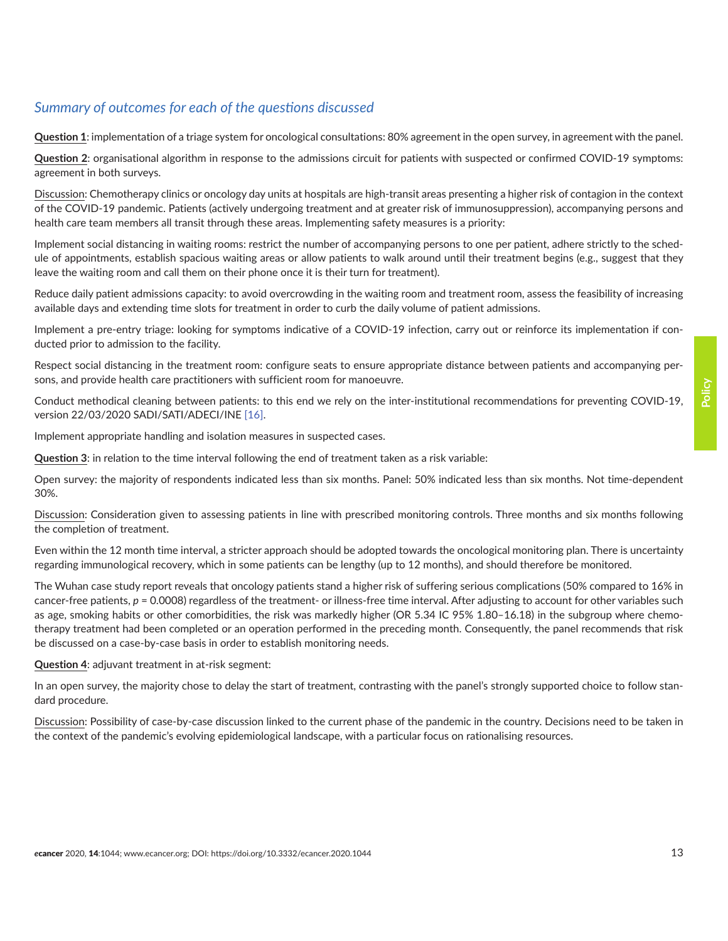# *Summary of outcomes for each of the questions discussed*

**Question 1**: implementation of a triage system for oncological consultations: 80% agreement in the open survey, in agreement with the panel.

**Question 2**: organisational algorithm in response to the admissions circuit for patients with suspected or confirmed COVID-19 symptoms: agreement in both surveys.

Discussion: Chemotherapy clinics or oncology day units at hospitals are high-transit areas presenting a higher risk of contagion in the context of the COVID-19 pandemic. Patients (actively undergoing treatment and at greater risk of immunosuppression), accompanying persons and health care team members all transit through these areas. Implementing safety measures is a priority:

Implement social distancing in waiting rooms: restrict the number of accompanying persons to one per patient, adhere strictly to the schedule of appointments, establish spacious waiting areas or allow patients to walk around until their treatment begins (e.g., suggest that they leave the waiting room and call them on their phone once it is their turn for treatment).

Reduce daily patient admissions capacity: to avoid overcrowding in the waiting room and treatment room, assess the feasibility of increasing available days and extending time slots for treatment in order to curb the daily volume of patient admissions.

Implement a pre-entry triage: looking for symptoms indicative of a COVID-19 infection, carry out or reinforce its implementation if conducted prior to admission to the facility.

Respect social distancing in the treatment room: configure seats to ensure appropriate distance between patients and accompanying persons, and provide health care practitioners with sufficient room for manoeuvre.

Conduct methodical cleaning between patients: to this end we rely on the inter-institutional recommendations for preventing COVID-19, version 22/03/2020 SADI/SATI/ADECI/INE [\[16\].](#page-16-0)

Implement appropriate handling and isolation measures in suspected cases.

**Question 3**: in relation to the time interval following the end of treatment taken as a risk variable:

Open survey: the majority of respondents indicated less than six months. Panel: 50% indicated less than six months. Not time-dependent 30%.

Discussion: Consideration given to assessing patients in line with prescribed monitoring controls. Three months and six months following the completion of treatment.

Even within the 12 month time interval, a stricter approach should be adopted towards the oncological monitoring plan. There is uncertainty regarding immunological recovery, which in some patients can be lengthy (up to 12 months), and should therefore be monitored.

The Wuhan case study report reveals that oncology patients stand a higher risk of suffering serious complications (50% compared to 16% in cancer-free patients,  $p = 0.0008$ ) regardless of the treatment- or illness-free time interval. After adjusting to account for other variables such as age, smoking habits or other comorbidities, the risk was markedly higher (OR 5.34 IC 95% 1.80–16.18) in the subgroup where chemotherapy treatment had been completed or an operation performed in the preceding month. Consequently, the panel recommends that risk be discussed on a case-by-case basis in order to establish monitoring needs.

#### **Question 4**: adjuvant treatment in at-risk segment:

In an open survey, the majority chose to delay the start of treatment, contrasting with the panel's strongly supported choice to follow standard procedure.

Discussion: Possibility of case-by-case discussion linked to the current phase of the pandemic in the country. Decisions need to be taken in the context of the pandemic's evolving epidemiological landscape, with a particular focus on rationalising resources.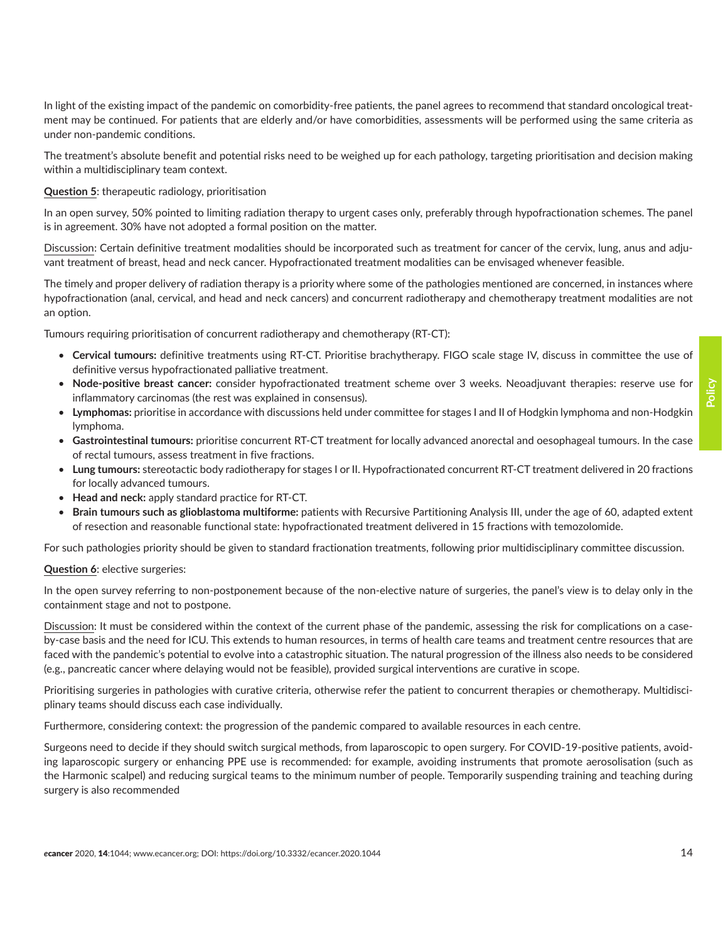### **Question 5**: therapeutic radiology, prioritisation

under non-pandemic conditions.

within a multidisciplinary team context.

In an open survey, 50% pointed to limiting radiation therapy to urgent cases only, preferably through hypofractionation schemes. The panel is in agreement. 30% have not adopted a formal position on the matter.

In light of the existing impact of the pandemic on comorbidity-free patients, the panel agrees to recommend that standard oncological treatment may be continued. For patients that are elderly and/or have comorbidities, assessments will be performed using the same criteria as

Discussion: Certain definitive treatment modalities should be incorporated such as treatment for cancer of the cervix, lung, anus and adjuvant treatment of breast, head and neck cancer. Hypofractionated treatment modalities can be envisaged whenever feasible.

The timely and proper delivery of radiation therapy is a priority where some of the pathologies mentioned are concerned, in instances where hypofractionation (anal, cervical, and head and neck cancers) and concurrent radiotherapy and chemotherapy treatment modalities are not an option.

Tumours requiring prioritisation of concurrent radiotherapy and chemotherapy (RT-CT):

- **Cervical tumours:** definitive treatments using RT-CT. Prioritise brachytherapy. FIGO scale stage IV, discuss in committee the use of definitive versus hypofractionated palliative treatment.
- **Node-positive breast cancer:** consider hypofractionated treatment scheme over 3 weeks. Neoadjuvant therapies: reserve use for inflammatory carcinomas (the rest was explained in consensus).
- **Lymphomas:** prioritise in accordance with discussions held under committee for stages I and II of Hodgkin lymphoma and non-Hodgkin lymphoma.
- **Gastrointestinal tumours:** prioritise concurrent RT-CT treatment for locally advanced anorectal and oesophageal tumours. In the case of rectal tumours, assess treatment in five fractions.
- **Lung tumours:** stereotactic body radiotherapy for stages I or II. Hypofractionated concurrent RT-CT treatment delivered in 20 fractions for locally advanced tumours.
- **Head and neck:** apply standard practice for RT-CT.
- **Brain tumours such as glioblastoma multiforme:** patients with Recursive Partitioning Analysis III, under the age of 60, adapted extent of resection and reasonable functional state: hypofractionated treatment delivered in 15 fractions with temozolomide.

For such pathologies priority should be given to standard fractionation treatments, following prior multidisciplinary committee discussion.

### **Question 6**: elective surgeries:

In the open survey referring to non-postponement because of the non-elective nature of surgeries, the panel's view is to delay only in the containment stage and not to postpone.

Discussion: It must be considered within the context of the current phase of the pandemic, assessing the risk for complications on a caseby-case basis and the need for ICU. This extends to human resources, in terms of health care teams and treatment centre resources that are faced with the pandemic's potential to evolve into a catastrophic situation. The natural progression of the illness also needs to be considered (e.g., pancreatic cancer where delaying would not be feasible), provided surgical interventions are curative in scope.

Prioritising surgeries in pathologies with curative criteria, otherwise refer the patient to concurrent therapies or chemotherapy. Multidisciplinary teams should discuss each case individually.

Furthermore, considering context: the progression of the pandemic compared to available resources in each centre.

Surgeons need to decide if they should switch surgical methods, from laparoscopic to open surgery. For COVID-19-positive patients, avoiding laparoscopic surgery or enhancing PPE use is recommended: for example, avoiding instruments that promote aerosolisation (such as the Harmonic scalpel) and reducing surgical teams to the minimum number of people. Temporarily suspending training and teaching during surgery is also recommended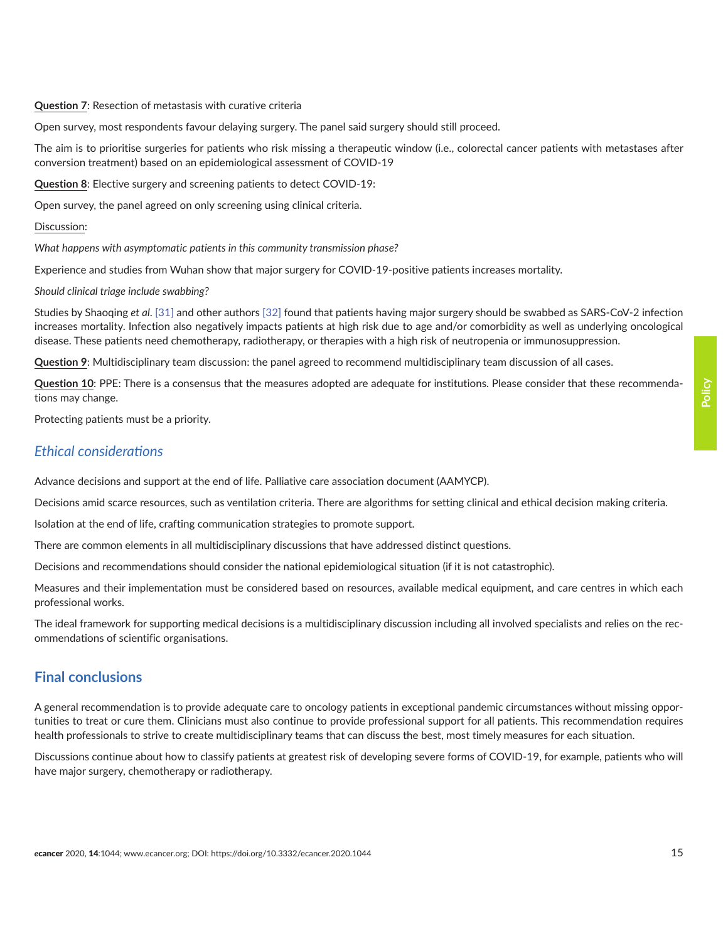**Question 7**: Resection of metastasis with curative criteria

Open survey, most respondents favour delaying surgery. The panel said surgery should still proceed.

The aim is to prioritise surgeries for patients who risk missing a therapeutic window (i.e., colorectal cancer patients with metastases after conversion treatment) based on an epidemiological assessment of COVID-19

**Question 8**: Elective surgery and screening patients to detect COVID-19:

Open survey, the panel agreed on only screening using clinical criteria.

#### Discussion:

*What happens with asymptomatic patients in this community transmission phase?* 

Experience and studies from Wuhan show that major surgery for COVID-19-positive patients increases mortality.

#### *Should clinical triage include swabbing?*

Studies by Shaoqing *et al*. [\[31\]](#page-17-0) and other authors [\[32\]](#page-17-0) found that patients having major surgery should be swabbed as SARS-CoV-2 infection increases mortality. Infection also negatively impacts patients at high risk due to age and/or comorbidity as well as underlying oncological disease. These patients need chemotherapy, radiotherapy, or therapies with a high risk of neutropenia or immunosuppression.

**Question 9**: Multidisciplinary team discussion: the panel agreed to recommend multidisciplinary team discussion of all cases.

**Question 10**: PPE: There is a consensus that the measures adopted are adequate for institutions. Please consider that these recommendations may change.

Protecting patients must be a priority.

### *Ethical considerations*

Advance decisions and support at the end of life. Palliative care association document (AAMYCP).

Decisions amid scarce resources, such as ventilation criteria. There are algorithms for setting clinical and ethical decision making criteria.

Isolation at the end of life, crafting communication strategies to promote support.

There are common elements in all multidisciplinary discussions that have addressed distinct questions.

Decisions and recommendations should consider the national epidemiological situation (if it is not catastrophic).

Measures and their implementation must be considered based on resources, available medical equipment, and care centres in which each professional works.

The ideal framework for supporting medical decisions is a multidisciplinary discussion including all involved specialists and relies on the recommendations of scientific organisations.

### **Final conclusions**

A general recommendation is to provide adequate care to oncology patients in exceptional pandemic circumstances without missing opportunities to treat or cure them. Clinicians must also continue to provide professional support for all patients. This recommendation requires health professionals to strive to create multidisciplinary teams that can discuss the best, most timely measures for each situation.

Discussions continue about how to classify patients at greatest risk of developing severe forms of COVID-19, for example, patients who will have major surgery, chemotherapy or radiotherapy.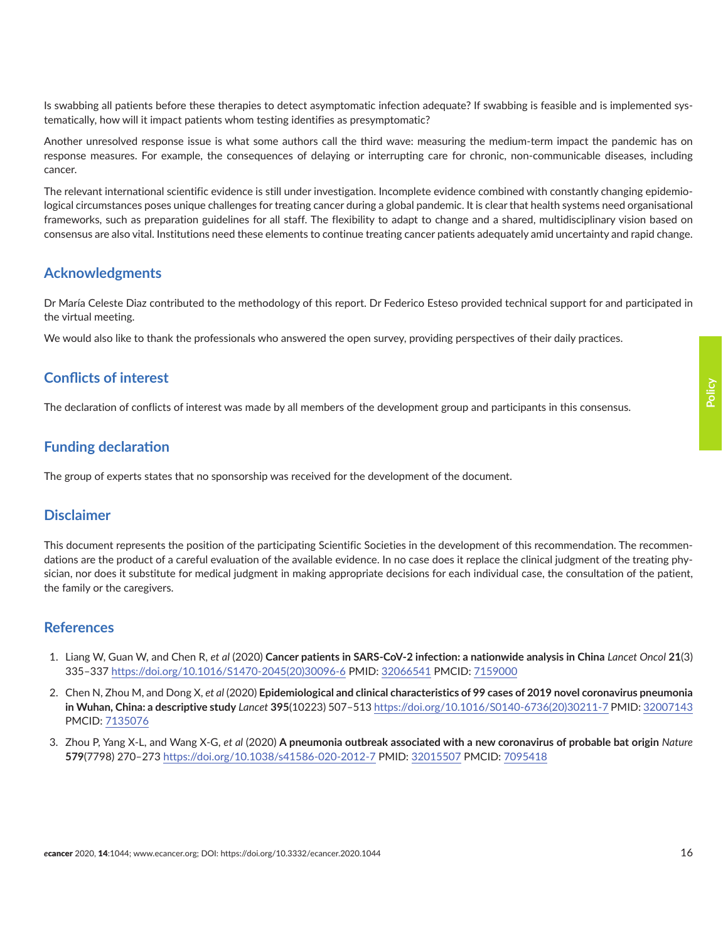<span id="page-15-0"></span>Is swabbing all patients before these therapies to detect asymptomatic infection adequate? If swabbing is feasible and is implemented systematically, how will it impact patients whom testing identifies as presymptomatic?

Another unresolved response issue is what some authors call the third wave: measuring the medium-term impact the pandemic has on response measures. For example, the consequences of delaying or interrupting care for chronic, non-communicable diseases, including cancer.

The relevant international scientific evidence is still under investigation. Incomplete evidence combined with constantly changing epidemiological circumstances poses unique challenges for treating cancer during a global pandemic. It is clear that health systems need organisational frameworks, such as preparation guidelines for all staff. The flexibility to adapt to change and a shared, multidisciplinary vision based on consensus are also vital. Institutions need these elements to continue treating cancer patients adequately amid uncertainty and rapid change.

## **Acknowledgments**

Dr María Celeste Diaz contributed to the methodology of this report. Dr Federico Esteso provided technical support for and participated in the virtual meeting.

We would also like to thank the professionals who answered the open survey, providing perspectives of their daily practices.

### **Conflicts of interest**

The declaration of conflicts of interest was made by all members of the development group and participants in this consensus.

### **Funding declaration**

The group of experts states that no sponsorship was received for the development of the document.

### **Disclaimer**

This document represents the position of the participating Scientific Societies in the development of this recommendation. The recommendations are the product of a careful evaluation of the available evidence. In no case does it replace the clinical judgment of the treating physician, nor does it substitute for medical judgment in making appropriate decisions for each individual case, the consultation of the patient, the family or the caregivers.

### **References**

- 1. Liang W, Guan W, and Chen R, *et al* (2020) **Cancer patients in SARS-CoV-2 infection: a nationwide analysis in China** *Lancet Oncol* **21**(3) 335–337 [https://doi.org/10.1016/S1470-2045\(20\)30096-6](https://doi.org/10.1016/S1470-2045(20)30096-6) PMID: [32066541](http://www.ncbi.nlm.nih.gov/pubmed/32066541) PMCID: [7159000](http://www.ncbi.nlm.nih.gov/pmc/articles/PMC7159000)
- 2. Chen N, Zhou M, and Dong X, *et al* (2020) **Epidemiological and clinical characteristics of 99 cases of 2019 novel coronavirus pneumonia in Wuhan, China: a descriptive study** *Lancet* **395**(10223) 507–513 [https://doi.org/10.1016/S0140-6736\(20\)30211-7](https://doi.org/10.1016/S0140-6736(20)30211-7) PMID: [32007143](http://www.ncbi.nlm.nih.gov/pubmed/32007143) PMCID: [7135076](http://www.ncbi.nlm.nih.gov/pmc/articles/PMC7135076)
- 3. Zhou P, Yang X-L, and Wang X-G, *et al* (2020) **A pneumonia outbreak associated with a new coronavirus of probable bat origin** *Nature* **579**(7798) 270–273<https://doi.org/10.1038/s41586-020-2012-7> PMID: [32015507](http://www.ncbi.nlm.nih.gov/pubmed/32015507) PMCID: [7095418](http://www.ncbi.nlm.nih.gov/pmc/articles/PMC7095418)

**Policy**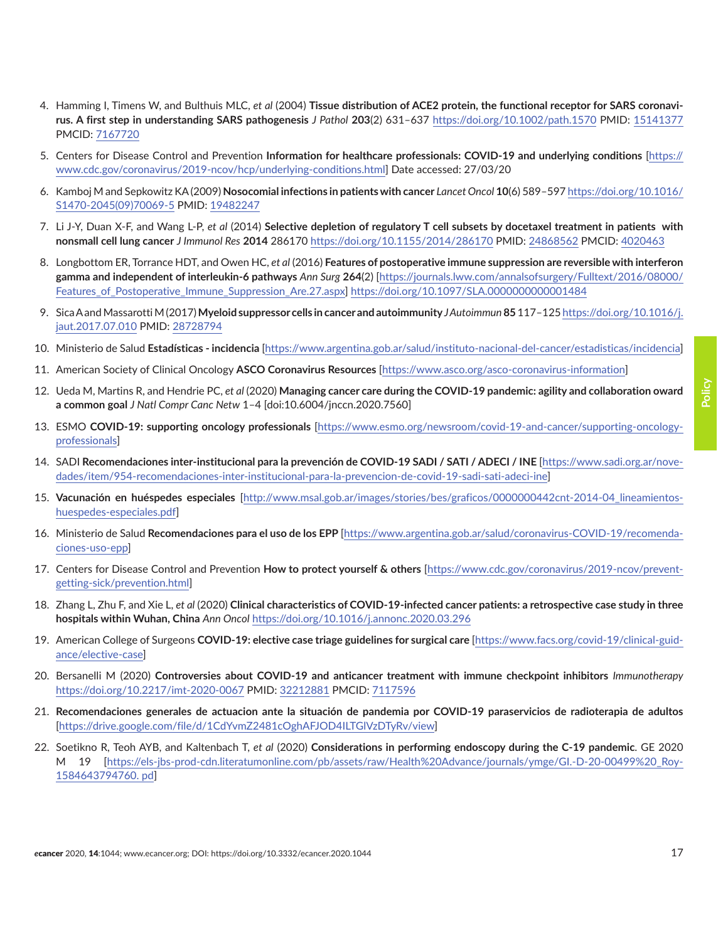- <span id="page-16-0"></span>4. Hamming I, Timens W, and Bulthuis MLC, *et al* (2004) **Tissue distribution of ACE2 protein, the functional receptor for SARS coronavirus. A first step in understanding SARS pathogenesis** *J Pathol* **203**(2) 631–637 <https://doi.org/10.1002/path.1570>PMID: [15141377](http://www.ncbi.nlm.nih.gov/pubmed/15141377) PMCID: [7167720](http://www.ncbi.nlm.nih.gov/pmc/articles/PMC7167720)
- 5. Centers for Disease Control and Prevention **Information for healthcare professionals: COVID-19 and underlying conditions** [\[https://](https://www.cdc.gov/coronavirus/2019-ncov/hcp/underlying-conditions.html) [www.cdc.gov/coronavirus/2019-ncov/hcp/underlying-conditions.html](https://www.cdc.gov/coronavirus/2019-ncov/hcp/underlying-conditions.html)] Date accessed: 27/03/20
- 6. Kamboj M and Sepkowitz KA (2009) **Nosocomial infections in patients with cancer** *Lancet Oncol* **10**(6) 589–597 [https://doi.org/10.1016/](https://doi.org/10.1016/S1470-2045(09)70069-5) [S1470-2045\(09\)70069-5](https://doi.org/10.1016/S1470-2045(09)70069-5) PMID: [19482247](http://www.ncbi.nlm.nih.gov/pubmed/19482247)
- 7. Li J-Y, Duan X-F, and Wang L-P, *et al* (2014) **Selective depletion of regulatory T cell subsets by docetaxel treatment in patients with nonsmall cell lung cancer** *J Immunol Res* **2014** 286170<https://doi.org/10.1155/2014/286170>PMID: [24868562](http://www.ncbi.nlm.nih.gov/pubmed/24868562) PMCID: [4020463](http://www.ncbi.nlm.nih.gov/pmc/articles/PMC4020463)
- 8. Longbottom ER, Torrance HDT, and Owen HC, *et al* (2016) **Features of postoperative immune suppression are reversible with interferon gamma and independent of interleukin-6 pathways** *Ann Surg* **264**(2) [\[https://journals.lww.com/annalsofsurgery/Fulltext/2016/08000/](https://journals.lww.com/annalsofsurgery/Fulltext/2016/08000/Features_of_Postoperative_Immune_Suppre) [Features\\_of\\_Postoperative\\_Immune\\_Suppression\\_Are.27.aspx](https://journals.lww.com/annalsofsurgery/Fulltext/2016/08000/Features_of_Postoperative_Immune_Suppre)]<https://doi.org/10.1097/SLA.0000000000001484>
- 9. Sica A and Massarotti M (2017) **Myeloid suppressor cells in cancer and autoimmunity** *J Autoimmun* **85** 117–125 [https://doi.org/10.1016/j.](https://doi.org/10.1016/j.jaut.2017.07.010) [jaut.2017.07.010](https://doi.org/10.1016/j.jaut.2017.07.010) PMID: [28728794](http://www.ncbi.nlm.nih.gov/pubmed/28728794)
- 10. Ministerio de Salud **Estadísticas incidencia** [\[https://www.argentina.gob.ar/salud/instituto-nacional-del-cancer/estadisticas/incidencia](https://www.argentina.gob.ar/salud/instituto-nacional-del-cancer/estadisticas/incidencia)]
- 11. American Society of Clinical Oncology **ASCO Coronavirus Resources** [[https://www.asco.org/asco-coronavirus-information\]](https://www.asco.org/asco-coronavirus-information)
- 12. Ueda M, Martins R, and Hendrie PC, *et al* (2020) **Managing cancer care during the COVID-19 pandemic: agility and collaboration oward a common goal** *J Natl Compr Canc Netw* 1–4 [doi:10.6004/jnccn.2020.7560]
- 13. ESMO **COVID-19: supporting oncology professionals** [\[https://www.esmo.org/newsroom/covid-19-and-cancer/supporting-oncology](https://www.esmo.org/newsroom/covid-19-and-cancer/supporting-oncology-professionals)[professionals](https://www.esmo.org/newsroom/covid-19-and-cancer/supporting-oncology-professionals)]
- 14. SADI **Recomendaciones inter-institucional para la prevención de COVID-19 SADI / SATI / ADECI / INE** [\[https://www.sadi.org.ar/nove](https://www.sadi.org.ar/novedades/item/954-recomendaciones-inter-institucional-para-la-prevencion-de)[dades/item/954-recomendaciones-inter-institucional-para-la-prevencion-de-covid-19-sadi-sati-adeci-ine](https://www.sadi.org.ar/novedades/item/954-recomendaciones-inter-institucional-para-la-prevencion-de)]
- 15. **Vacunación en huéspedes especiales** [[http://www.msal.gob.ar/images/stories/bes/graficos/0000000442cnt-2014-04\\_lineamientos](http://www.msal.gob.ar/images/stories/bes/graficos/0000000442cnt-2014-04_lineamientos-huespedes-especiales.pdf)[huespedes-especiales.pdf](http://www.msal.gob.ar/images/stories/bes/graficos/0000000442cnt-2014-04_lineamientos-huespedes-especiales.pdf)]
- 16. Ministerio de Salud **Recomendaciones para el uso de los EPP** [\[https://www.argentina.gob.ar/salud/coronavirus-COVID-19/recomenda](https://www.argentina.gob.ar/salud/coronavirus-COVID-19/recomendaciones-uso-epp)[ciones-uso-epp](https://www.argentina.gob.ar/salud/coronavirus-COVID-19/recomendaciones-uso-epp)]
- 17. Centers for Disease Control and Prevention **How to protect yourself & others** [[https://www.cdc.gov/coronavirus/2019-ncov/prevent](https://www.cdc.gov/coronavirus/2019-ncov/prevent-getting-sick/prevention.html)[getting-sick/prevention.html](https://www.cdc.gov/coronavirus/2019-ncov/prevent-getting-sick/prevention.html)]
- 18. Zhang L, Zhu F, and Xie L, *et al* (2020) **Clinical characteristics of COVID-19-infected cancer patients: a retrospective case study in three hospitals within Wuhan, China** *Ann Oncol* <https://doi.org/10.1016/j.annonc.2020.03.296>
- 19. American College of Surgeons **COVID-19: elective case triage guidelines for surgical care** [[https://www.facs.org/covid-19/clinical-guid](https://www.facs.org/covid-19/clinical-guidance/elective-case)[ance/elective-case](https://www.facs.org/covid-19/clinical-guidance/elective-case)]
- 20. Bersanelli M (2020) **Controversies about COVID-19 and anticancer treatment with immune checkpoint inhibitors** *Immunotherapy* <https://doi.org/10.2217/imt-2020-0067> PMID: [32212881](http://www.ncbi.nlm.nih.gov/pubmed/32212881) PMCID: [7117596](http://www.ncbi.nlm.nih.gov/pmc/articles/PMC7117596)
- 21. **Recomendaciones generales de actuacion ante la situación de pandemia por COVID-19 paraservicios de radioterapia de adultos** [<https://drive.google.com/file/d/1CdYvmZ2481cOghAFJOD4ILTGlVzDTyRv/view>]
- 22. Soetikno R, Teoh AYB, and Kaltenbach T, *et al* (2020) **Considerations in performing endoscopy during the C-19 pandemic**. GE 2020 M 19 [\[https://els-jbs-prod-cdn.literatumonline.com/pb/assets/raw/Health%20Advance/journals/ymge/GI.-D-20-00499%20\\_Roy-](https://els-jbs-prod-cdn.literatumonline.com/pb/assets/raw/Health%20Advance/journals/ymge/GI.-D-20-0)[1584643794760. pd](https://els-jbs-prod-cdn.literatumonline.com/pb/assets/raw/Health%20Advance/journals/ymge/GI.-D-20-0)]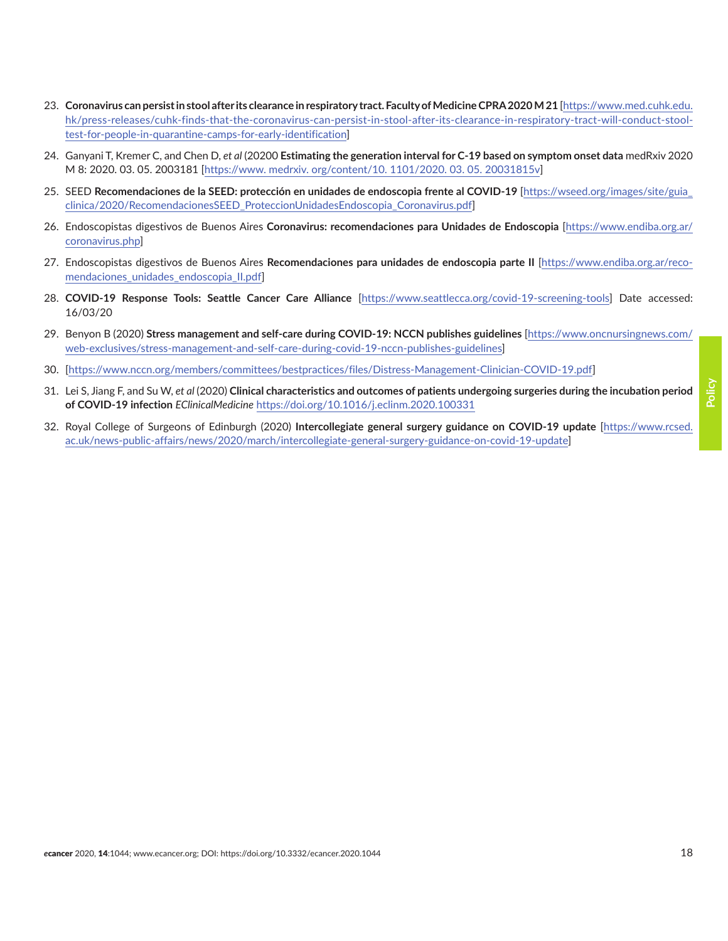- <span id="page-17-0"></span>23. **Coronavirus can persist in stool after its clearance in respiratory tract. Faculty of Medicine CPRA 2020 M 21** [[https://www.med.cuhk.edu.](https://www.med.cuhk.edu.hk/press-releases/cuhk-finds-that-the-coronavirus-can-persist-in-stool-after-its-clearance-in-respiratory-tract-will-conduct-stool-test-for-people-in-quarantine-camps-for-early-identification)  [hk/press-releases/cuhk-finds-that-the-coronavirus-can-persist-in-stool-after-its-clearance-in-respiratory-tract-will-conduct-stool](https://www.med.cuhk.edu.hk/press-releases/cuhk-finds-that-the-coronavirus-can-persist-in-stool-after-its-clearance-in-respiratory-tract-will-conduct-stool-test-for-people-in-quarantine-camps-for-early-identification)[test-for-people-in-quarantine-camps-for-early-identification\]](https://www.med.cuhk.edu.hk/press-releases/cuhk-finds-that-the-coronavirus-can-persist-in-stool-after-its-clearance-in-respiratory-tract-will-conduct-stool-test-for-people-in-quarantine-camps-for-early-identification)
- 24. Ganyani T, Kremer C, and Chen D, *et al* (20200 **Estimating the generation interval for C-19 based on symptom onset data** medRxiv 2020 M 8: 2020. 03. 05. 2003181 [\[https://www. medrxiv. org/content/10. 1101/2020. 03. 05. 20031815v](https://www. medrxiv. org/content/10. 1101/2020. 03. 05. 20031815v)]
- 25. SEED **Recomendaciones de la SEED: protección en unidades de endoscopia frente al COVID-19** [\[https://wseed.org/images/site/guia\\_](https://wseed.org/images/site/guia_clinica/2020/RecomendacionesSEED_ProteccionUnidadesEndoscopia_Coronavirus.pdf) [clinica/2020/RecomendacionesSEED\\_ProteccionUnidadesEndoscopia\\_Coronavirus.pdf](https://wseed.org/images/site/guia_clinica/2020/RecomendacionesSEED_ProteccionUnidadesEndoscopia_Coronavirus.pdf)]
- 26. Endoscopistas digestivos de Buenos Aires **Coronavirus: recomendaciones para Unidades de Endoscopia** [\[https://www.endiba.org.ar/](https://www.endiba.org.ar/coronavirus.php) [coronavirus.php\]](https://www.endiba.org.ar/coronavirus.php)
- 27. Endoscopistas digestivos de Buenos Aires **Recomendaciones para unidades de endoscopia parte II** [[https://www.endiba.org.ar/reco](https://www.endiba.org.ar/recomendaciones_unidades_endoscopia_II.pdf)[mendaciones\\_unidades\\_endoscopia\\_II.pdf\]](https://www.endiba.org.ar/recomendaciones_unidades_endoscopia_II.pdf)
- 28. **COVID-19 Response Tools: Seattle Cancer Care Alliance** [\[https://www.seattlecca.org/covid-19-screening-tools\]](https://www.seattlecca.org/covid-19-screening-tools) Date accessed: 16/03/20
- 29. Benyon B (2020) **Stress management and self-care during COVID-19: NCCN publishes guidelines** [\[https://www.oncnursingnews.com/](https://www.oncnursingnews.com/web-exclusives/stress-management-and-self-care-during-covid-19-nccn-publishes-guidelines) [web-exclusives/stress-management-and-self-care-during-covid-19-nccn-publishes-guidelines](https://www.oncnursingnews.com/web-exclusives/stress-management-and-self-care-during-covid-19-nccn-publishes-guidelines)]
- 30. [[https://www.nccn.org/members/committees/bestpractices/files/Distress-Management-Clinician-COVID-19.pdf](https://www.nccn.org/members/committees/bestpractices/files/Distress-Management-Clinician-COVID-19.p)]
- 31. Lei S, Jiang F, and Su W, *et al* (2020) **Clinical characteristics and outcomes of patients undergoing surgeries during the incubation period of COVID-19 infection** *EClinicalMedicine* <https://doi.org/10.1016/j.eclinm.2020.100331>
- 32. Royal College of Surgeons of Edinburgh (2020) **Intercollegiate general surgery guidance on COVID-19 update** [[https://www.rcsed.](https://www.rcsed.ac.uk/news-public-affairs/news/2020/march/intercollegiate-general-surgery-guidance) [ac.uk/news-public-affairs/news/2020/march/intercollegiate-general-surgery-guidance-on-covid-19-update\]](https://www.rcsed.ac.uk/news-public-affairs/news/2020/march/intercollegiate-general-surgery-guidance)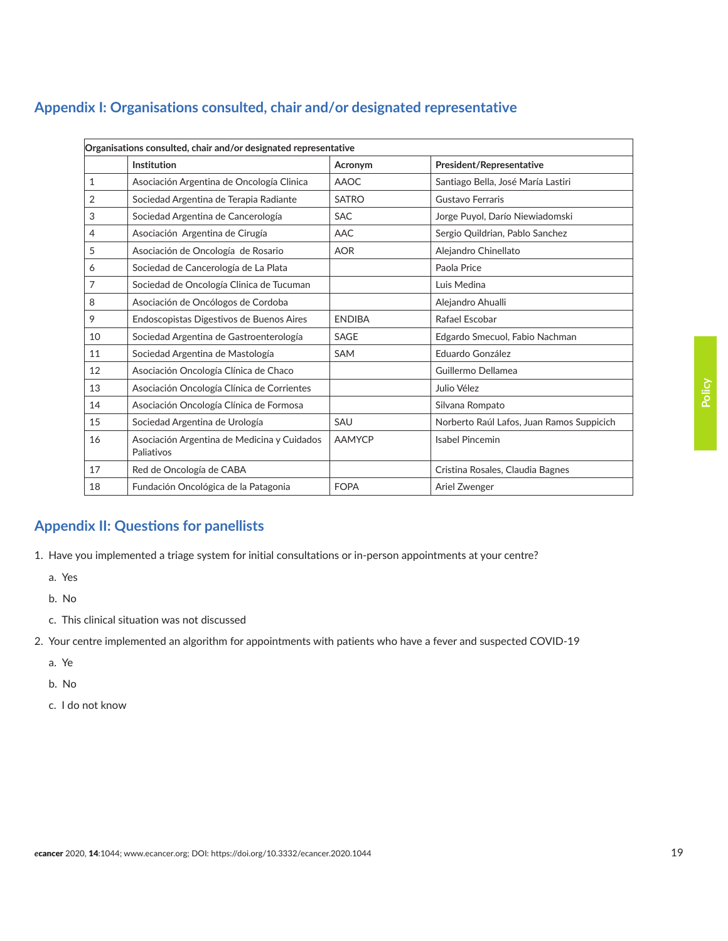# <span id="page-18-0"></span>**Appendix I: Organisations consulted, chair and/or designated representative**

| Organisations consulted, chair and/or designated representative |                                                           |               |                                           |
|-----------------------------------------------------------------|-----------------------------------------------------------|---------------|-------------------------------------------|
|                                                                 | Institution                                               | Acronym       | President/Representative                  |
| $\mathbf{1}$                                                    | Asociación Argentina de Oncología Clinica                 | <b>AAOC</b>   | Santiago Bella, José María Lastiri        |
| 2                                                               | Sociedad Argentina de Terapia Radiante                    | <b>SATRO</b>  | Gustavo Ferraris                          |
| 3                                                               | Sociedad Argentina de Cancerología                        | <b>SAC</b>    | Jorge Puyol, Darío Niewiadomski           |
| 4                                                               | Asociación Argentina de Cirugía                           | AAC           | Sergio Quildrian, Pablo Sanchez           |
| 5                                                               | Asociación de Oncología de Rosario                        | <b>AOR</b>    | Alejandro Chinellato                      |
| 6                                                               | Sociedad de Cancerología de La Plata                      |               | Paola Price                               |
| 7                                                               | Sociedad de Oncología Clinica de Tucuman                  |               | Luis Medina                               |
| 8                                                               | Asociación de Oncólogos de Cordoba                        |               | Alejandro Ahualli                         |
| 9                                                               | Endoscopistas Digestivos de Buenos Aires                  | <b>ENDIBA</b> | Rafael Escobar                            |
| 10                                                              | Sociedad Argentina de Gastroenterología                   | SAGE          | Edgardo Smecuol, Fabio Nachman            |
| 11                                                              | Sociedad Argentina de Mastología                          | <b>SAM</b>    | Eduardo González                          |
| 12                                                              | Asociación Oncología Clínica de Chaco                     |               | Guillermo Dellamea                        |
| 13                                                              | Asociación Oncología Clínica de Corrientes                |               | Julio Vélez                               |
| 14                                                              | Asociación Oncología Clínica de Formosa                   |               | Silvana Rompato                           |
| 15                                                              | Sociedad Argentina de Urología                            | SAU           | Norberto Raúl Lafos, Juan Ramos Suppicich |
| 16                                                              | Asociación Argentina de Medicina y Cuidados<br>Paliativos | <b>AAMYCP</b> | <b>Isabel Pincemin</b>                    |
| 17                                                              | Red de Oncología de CABA                                  |               | Cristina Rosales, Claudia Bagnes          |
| 18                                                              | Fundación Oncológica de la Patagonia                      | <b>FOPA</b>   | Ariel Zwenger                             |

# **Appendix II: Questions for panellists**

1. Have you implemented a triage system for initial consultations or in-person appointments at your centre?

- a. Yes
- b. No
- c. This clinical situation was not discussed
- 2. Your centre implemented an algorithm for appointments with patients who have a fever and suspected COVID-19
	- a. Ye
	- b. No
	- c. I do not know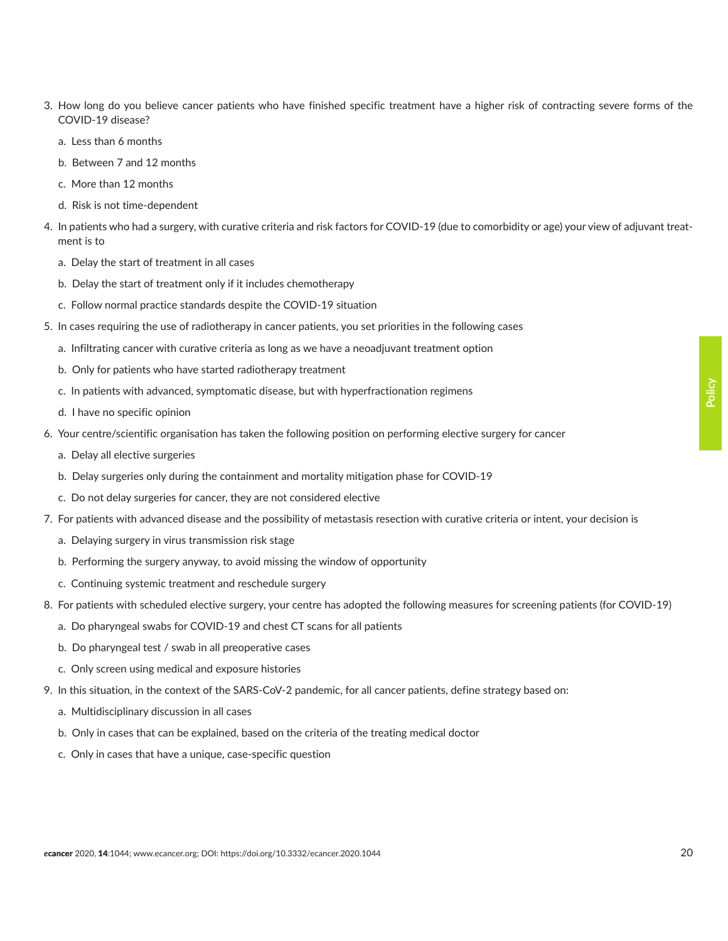- 
- b. Between 7 and 12 months
- c. More than 12 months

COVID-19 disease? a. Less than 6 months

- d. Risk is not time-dependent
- 4. In patients who had a surgery, with curative criteria and risk factors for COVID-19 (due to comorbidity or age) your view of adjuvant treatment is to

3. How long do you believe cancer patients who have finished specific treatment have a higher risk of contracting severe forms of the

- a. Delay the start of treatment in all cases
- b. Delay the start of treatment only if it includes chemotherapy
- c. Follow normal practice standards despite the COVID-19 situation
- 5. In cases requiring the use of radiotherapy in cancer patients, you set priorities in the following cases
	- a. Infiltrating cancer with curative criteria as long as we have a neoadjuvant treatment option
	- b. Only for patients who have started radiotherapy treatment
	- c. In patients with advanced, symptomatic disease, but with hyperfractionation regimens
	- d. I have no specific opinion
- 6. Your centre/scientific organisation has taken the following position on performing elective surgery for cancer
	- a. Delay all elective surgeries
	- b. Delay surgeries only during the containment and mortality mitigation phase for COVID-19
	- c. Do not delay surgeries for cancer, they are not considered elective
- 7. For patients with advanced disease and the possibility of metastasis resection with curative criteria or intent, your decision is
	- a. Delaying surgery in virus transmission risk stage
	- b. Performing the surgery anyway, to avoid missing the window of opportunity
	- c. Continuing systemic treatment and reschedule surgery
- 8. For patients with scheduled elective surgery, your centre has adopted the following measures for screening patients (for COVID-19)
	- a. Do pharyngeal swabs for COVID-19 and chest CT scans for all patients
	- b. Do pharyngeal test / swab in all preoperative cases
	- c. Only screen using medical and exposure histories
- 9. In this situation, in the context of the SARS-CoV-2 pandemic, for all cancer patients, define strategy based on:
	- a. Multidisciplinary discussion in all cases
	- b. Only in cases that can be explained, based on the criteria of the treating medical doctor
	- c. Only in cases that have a unique, case-specific question

**Policy**